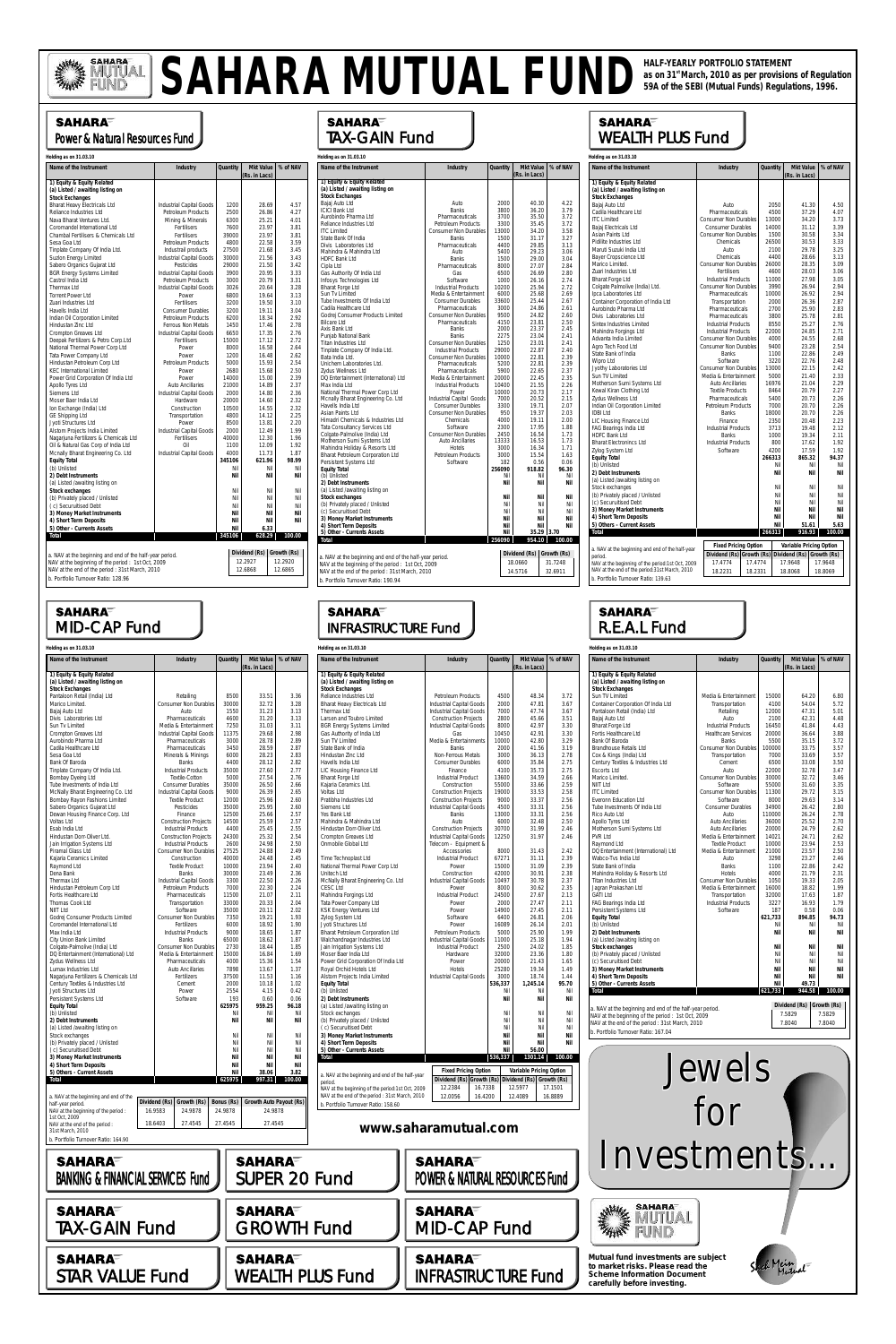## SAHARA<sup>=</sup> MID-CAP Fund

#### **SAHARA** TAX-GAIN Fund

#### **SAHARA** WEALTH PLUS Fund

| Holding as on 31.03.10                                   |                              |          |                            |             |
|----------------------------------------------------------|------------------------------|----------|----------------------------|-------------|
| Name of the Instrument                                   | <b>Industry</b>              | Quantity | Mkt Value<br>(Rs. in Lacs) | % of NAV    |
| 1) Equity & Equity Related                               |                              |          |                            |             |
| (a) Listed / awaiting listing on                         |                              |          |                            |             |
| <b>Stock Exchanges</b>                                   |                              |          |                            |             |
| Bajaj Auto Ltd                                           | Auto                         | 2000     | 40.30                      | 4.22        |
| <b>ICICI Bank Ltd</b>                                    | <b>Banks</b>                 | 3800     | 36.20                      | 3.79        |
| Aurobindo Pharma Ltd                                     | Pharmaceuticals              | 3700     | 35.50                      | 3.72        |
| Reliance Industries Ltd                                  | Petroleum Products           | 3300     | 35.45                      | 3.72        |
| <b>ITC Limited</b>                                       | <b>Consumer Non Durables</b> | 13000    | 34.20                      | 3.58        |
| State Bank Of India                                      | <b>Banks</b>                 | 1500     | 31.17                      | 3.27        |
| Divis Laboratories Ltd                                   | Pharmaceuticals              | 4400     | 29.85                      | 3.13        |
| Mahindra & Mahindra Ltd                                  | Auto                         | 5400     | 29.23                      | 3.06        |
| <b>HDFC Bank Ltd</b>                                     | <b>Banks</b>                 | 1500     | 29.00                      | 3.04        |
| Cipla Ltd                                                | Pharmaceuticals              | 8000     | 27.07                      | 2.84        |
| Gas Authority Of India Ltd                               | Gas                          | 6500     | 26.69                      | 2.80        |
| Infosys Technologies Ltd                                 | Software                     | 1000     | 26.16                      | 2.74        |
| <b>Bharat Forge Ltd</b>                                  | <b>Industrial Products</b>   | 10200    | 25.94                      | 2.72        |
| Sun Tv Limited                                           | Media & Entertainment        | 6000     | 25.68                      | 2.69        |
| Tube Investments Of India Ltd                            | <b>Consumer Durables</b>     | 33600    | 25.44                      | 2.67        |
| Cadila Healthcare Ltd                                    | Pharmaceuticals              | 3000     | 24.86                      | 2.61        |
| Godrej Consumer Products Limited                         | <b>Consumer Non Durables</b> | 9500     | 24.82                      | 2.60        |
| <b>Bilcare Ltd</b>                                       | Pharmaceuticals              | 4150     | 23.81                      | 2.50        |
| Axis Bank Ltd                                            | <b>Banks</b>                 | 2000     | 23.37                      | 2.45        |
| Punjab National Bank                                     | <b>Banks</b>                 | 2275     | 23.04                      | 2.41        |
| Titan Industries Ltd                                     | <b>Consumer Non Durables</b> | 1250     | 23.01                      | 2.41        |
| Tinplate Company Of India Ltd.                           | <b>Industrial Products</b>   | 29000    | 22.87                      | 2.40        |
| Bata India Ltd.                                          | <b>Consumer Non Durables</b> | 10000    | 22.81                      | 2.39        |
| Unichem Laboratories Ltd.                                | Pharmaceuticals              | 5200     | 22.81                      | 2.39        |
| Zydus Wellness Ltd                                       | Pharmaceuticals              | 5900     | 22.65                      | 2.37        |
| DQ Entertainment (International) Ltd                     | Media & Entertainment        | 20000    | 22.45                      | 2.35        |
| Max India Ltd                                            | <b>Industrial Products</b>   | 10400    | 21.55                      | 2.26        |
| National Thermal Power Corp Ltd                          | Power                        | 10000    | 20.73                      | 2.17        |
| Mcnally Bharat Engineering Co. Ltd                       | Industrial Capital Goods     | 7000     | 20.52                      | 2.15        |
| Havells India Ltd                                        | <b>Consumer Durables</b>     | 3300     | 19.71                      | 2.07        |
| Asian Paints Ltd                                         | <b>Consumer Non Durables</b> | 950      | 19.37                      | 2.03        |
| Himadri Chemicals & Industries Ltd.                      | Chemicals                    | 4000     | 19.11                      | 2.00        |
| Tata Consultancy Services Ltd                            | Software                     | 2300     | 17.95                      | 1.88        |
| Colgate-Palmolive (India) Ltd                            | <b>Consumer Non Durables</b> | 2450     | 16.54                      | 1.73        |
| Motherson Sumi Systems Ltd                               | <b>Auto Ancillaries</b>      | 13333    | 16.53                      | 1.73        |
| Mahindra Holiday & Resorts Ltd                           | Hotels                       | 3000     | 16.34                      | 1.71        |
| Bharat Petroleum Corporation Ltd                         | Petroleum Products           | 3000     | 15.54                      | 1.63        |
| Persistent Systems Ltd                                   | Software                     | 182      | 0.56                       | 0.06        |
| <b>Equity Total</b>                                      |                              | 256090   | 918.82                     | 96.30       |
| (b) Unlisted                                             |                              | Nil      | Nil                        | Nil         |
| 2) Debt Instruments                                      |                              | Nil      | Nil                        | Nil         |
| (a) Listed /awaiting listing on                          |                              |          |                            |             |
| Stock exchanges                                          |                              | Nil      | Nil                        | Nil         |
| (b) Privately placed / Unlisted                          |                              | Nil      | Nil                        | Nil         |
| (c) Securuitised Debt                                    |                              | Nil      | Nil                        | Nil         |
| 3) Money Market Instruments                              |                              | Nil      | Nil                        | Nil         |
| 4) Short Term Deposits                                   |                              | Nil      | Nil                        | Nil         |
| 5) Other - Currents Assets                               |                              | Nil      |                            | 35.29 3.70  |
| Total                                                    |                              | 256090   | 954.10                     | 100.00      |
|                                                          |                              |          | Dividend (Rs)              |             |
| a. NAV at the beginning and end of the half-year period. |                              |          |                            | Growth (Rs) |
| NAV at the beginning of the period : 1st Oct, 2009       |                              |          | 18.0660                    | 31.7248     |
| NAV at the end of the period: 31st March, 2010           |                              |          | 14.5716                    | 32.6911     |
| b. Portfolio Turnover Ratio: 190.94                      |                              |          |                            |             |

# SAHARA MUTUAL FUND as on 31<sup>st</sup> March, 2010 as per provisions of Regulation

### **SAHARA** Power & Natural Resources Fund

| 1) Equity & Equity Related<br>(a) Listed / awaiting listing on<br><b>Stock Exchanges</b><br>Bajaj Auto Ltd<br>2050<br>41.30<br>Auto<br>4500<br>37.29<br>Cadila Healthcare Ltd<br>Pharmaceuticals<br>13000<br>34.20<br><b>ITC Limited</b><br><b>Consumer Non Durables</b><br>Bajaj Electricals Ltd<br><b>Consumer Durables</b><br>14000<br>31.12<br>Asian Paints Ltd<br><b>Consumer Non Durables</b><br>1500<br>30.58<br>Pidilite Industries Ltd<br>Chemicals<br>26500<br>30.53<br>Maruti Suzuki India Ltd<br>Auto<br>2100<br>29.78<br>Bayer Cropscience Ltd<br>Chemicals<br>4400<br>28.66<br>Marico Limited.<br><b>Consumer Non Durables</b><br>26000<br>28.35<br>Zuari Industries Ltd<br>Fertilisers<br>4600<br>28.03<br><b>Bharat Forge Ltd</b><br><b>Industrial Products</b><br>27.98<br>11000<br>Colgate Palmolive (India) Ltd.<br><b>Consumer Non Durables</b><br>3990<br>26.94<br>Ipca Laboratories Ltd<br>Pharmaceuticals<br>10000<br>26.92<br>Container Corporation of India Ltd<br>Transportation<br>2000<br>26.36<br>Aurobindo Pharma Ltd<br>25.90<br>Pharmaceuticals<br>2700<br>Divis Laboratories Ltd<br>Pharmaceuticals<br>3800<br>25.78<br>Sintex Industries Limited<br><b>Industrial Products</b><br>8550<br>25.27<br><b>Industrial Products</b><br>Mahindra Forgings Ltd<br>22000<br>24.85<br>Advanta India Limited<br><b>Consumer Non Durables</b><br>4000<br>24.55<br>Agro Tech Food Ltd<br><b>Consumer Non Durables</b><br>9400<br>23.28<br>State Bank of India<br><b>Banks</b><br>22.86<br>1100<br>Wipro Ltd<br>Software<br>3220<br>22.76<br>Jyothy Laboratories Ltd<br><b>Consumer Non Durables</b><br>13000<br>22.15<br>Sun TV Limited<br>Media & Entertainment<br>5000<br>21.40<br>Motherson Sumi Systems Ltd<br><b>Auto Ancillaries</b><br>16976<br>21.04<br>Kewal Kiran Clothing Ltd<br>20.79<br><b>Textile Products</b><br>8464<br>Zydus Wellness Ltd<br>Pharmaceuticals<br>5400<br>20.73<br>Indian Oil Corporation Limited<br>Petroleum Products<br>7000<br>20.70<br><b>IDBI Ltd</b><br><b>Banks</b><br>18000<br>20.70<br>LIC Housing Finance Ltd<br>Finance<br>2350<br>20.48<br>FAG Bearings India Ltd<br><b>Industrial Products</b><br>3713<br>19.48<br><b>HDFC Bank Ltd</b><br>19.34<br><b>Banks</b><br>1000<br><b>Bharat Electronincs Ltd</b><br><b>Industrial Products</b><br>800<br>17.62<br>Zylog System Ltd<br>Software<br>4200<br>17.59<br><b>Equity Total</b><br>266313<br>865.32<br>(b) Unlisted<br>Nil<br>Nil<br>2) Debt Instruments<br>Nil<br>Nil<br>(a) Listed /awaiting listing on<br>Stock exchanges<br>Nil<br>Nil<br>(b) Privately placed / Unlisted<br>Nil<br>Nil<br>(c) Securuitised Debt<br>Nil<br>Nil<br>3) Money Market Instruments<br>Nil<br>Nil<br>4) Short Term Deposits<br>Nil<br>Nil<br>5) Others - Current Assets<br>Nil<br>51.61<br>266313<br>Total<br>916.93<br><b>Fixed Pricing Option</b><br>Variable Pricing Option<br>a. NAV at the beginning and end of the half-year<br>Dividend (Rs) Growth (Rs) Dividend (Rs) Growth (Rs)<br>period.<br>17.9648<br>NAV at the beginning of the period:1st Oct, 2009<br>17.4774<br>17.4774 | Name of the Instrument                        | Industry | Quantity |  | Mkt Value<br>% of NAV |         |
|--------------------------------------------------------------------------------------------------------------------------------------------------------------------------------------------------------------------------------------------------------------------------------------------------------------------------------------------------------------------------------------------------------------------------------------------------------------------------------------------------------------------------------------------------------------------------------------------------------------------------------------------------------------------------------------------------------------------------------------------------------------------------------------------------------------------------------------------------------------------------------------------------------------------------------------------------------------------------------------------------------------------------------------------------------------------------------------------------------------------------------------------------------------------------------------------------------------------------------------------------------------------------------------------------------------------------------------------------------------------------------------------------------------------------------------------------------------------------------------------------------------------------------------------------------------------------------------------------------------------------------------------------------------------------------------------------------------------------------------------------------------------------------------------------------------------------------------------------------------------------------------------------------------------------------------------------------------------------------------------------------------------------------------------------------------------------------------------------------------------------------------------------------------------------------------------------------------------------------------------------------------------------------------------------------------------------------------------------------------------------------------------------------------------------------------------------------------------------------------------------------------------------------------------------------------------------------------------------------------------------------------------------------------------------------------------------------------------------------------------------------------------------------------------------------------------------------------------------------------------------------------------------------------------------------------------------------------------------------------------------------------------------------------------------------------------------------------------|-----------------------------------------------|----------|----------|--|-----------------------|---------|
|                                                                                                                                                                                                                                                                                                                                                                                                                                                                                                                                                                                                                                                                                                                                                                                                                                                                                                                                                                                                                                                                                                                                                                                                                                                                                                                                                                                                                                                                                                                                                                                                                                                                                                                                                                                                                                                                                                                                                                                                                                                                                                                                                                                                                                                                                                                                                                                                                                                                                                                                                                                                                                                                                                                                                                                                                                                                                                                                                                                                                                                                                            |                                               |          |          |  | (Rs. in Lacs)         |         |
|                                                                                                                                                                                                                                                                                                                                                                                                                                                                                                                                                                                                                                                                                                                                                                                                                                                                                                                                                                                                                                                                                                                                                                                                                                                                                                                                                                                                                                                                                                                                                                                                                                                                                                                                                                                                                                                                                                                                                                                                                                                                                                                                                                                                                                                                                                                                                                                                                                                                                                                                                                                                                                                                                                                                                                                                                                                                                                                                                                                                                                                                                            |                                               |          |          |  |                       |         |
|                                                                                                                                                                                                                                                                                                                                                                                                                                                                                                                                                                                                                                                                                                                                                                                                                                                                                                                                                                                                                                                                                                                                                                                                                                                                                                                                                                                                                                                                                                                                                                                                                                                                                                                                                                                                                                                                                                                                                                                                                                                                                                                                                                                                                                                                                                                                                                                                                                                                                                                                                                                                                                                                                                                                                                                                                                                                                                                                                                                                                                                                                            |                                               |          |          |  |                       |         |
|                                                                                                                                                                                                                                                                                                                                                                                                                                                                                                                                                                                                                                                                                                                                                                                                                                                                                                                                                                                                                                                                                                                                                                                                                                                                                                                                                                                                                                                                                                                                                                                                                                                                                                                                                                                                                                                                                                                                                                                                                                                                                                                                                                                                                                                                                                                                                                                                                                                                                                                                                                                                                                                                                                                                                                                                                                                                                                                                                                                                                                                                                            |                                               |          |          |  |                       |         |
|                                                                                                                                                                                                                                                                                                                                                                                                                                                                                                                                                                                                                                                                                                                                                                                                                                                                                                                                                                                                                                                                                                                                                                                                                                                                                                                                                                                                                                                                                                                                                                                                                                                                                                                                                                                                                                                                                                                                                                                                                                                                                                                                                                                                                                                                                                                                                                                                                                                                                                                                                                                                                                                                                                                                                                                                                                                                                                                                                                                                                                                                                            |                                               |          |          |  |                       | 4.50    |
|                                                                                                                                                                                                                                                                                                                                                                                                                                                                                                                                                                                                                                                                                                                                                                                                                                                                                                                                                                                                                                                                                                                                                                                                                                                                                                                                                                                                                                                                                                                                                                                                                                                                                                                                                                                                                                                                                                                                                                                                                                                                                                                                                                                                                                                                                                                                                                                                                                                                                                                                                                                                                                                                                                                                                                                                                                                                                                                                                                                                                                                                                            |                                               |          |          |  |                       | 4.07    |
|                                                                                                                                                                                                                                                                                                                                                                                                                                                                                                                                                                                                                                                                                                                                                                                                                                                                                                                                                                                                                                                                                                                                                                                                                                                                                                                                                                                                                                                                                                                                                                                                                                                                                                                                                                                                                                                                                                                                                                                                                                                                                                                                                                                                                                                                                                                                                                                                                                                                                                                                                                                                                                                                                                                                                                                                                                                                                                                                                                                                                                                                                            |                                               |          |          |  |                       | 3.73    |
|                                                                                                                                                                                                                                                                                                                                                                                                                                                                                                                                                                                                                                                                                                                                                                                                                                                                                                                                                                                                                                                                                                                                                                                                                                                                                                                                                                                                                                                                                                                                                                                                                                                                                                                                                                                                                                                                                                                                                                                                                                                                                                                                                                                                                                                                                                                                                                                                                                                                                                                                                                                                                                                                                                                                                                                                                                                                                                                                                                                                                                                                                            |                                               |          |          |  |                       | 3.39    |
|                                                                                                                                                                                                                                                                                                                                                                                                                                                                                                                                                                                                                                                                                                                                                                                                                                                                                                                                                                                                                                                                                                                                                                                                                                                                                                                                                                                                                                                                                                                                                                                                                                                                                                                                                                                                                                                                                                                                                                                                                                                                                                                                                                                                                                                                                                                                                                                                                                                                                                                                                                                                                                                                                                                                                                                                                                                                                                                                                                                                                                                                                            |                                               |          |          |  |                       | 3.34    |
|                                                                                                                                                                                                                                                                                                                                                                                                                                                                                                                                                                                                                                                                                                                                                                                                                                                                                                                                                                                                                                                                                                                                                                                                                                                                                                                                                                                                                                                                                                                                                                                                                                                                                                                                                                                                                                                                                                                                                                                                                                                                                                                                                                                                                                                                                                                                                                                                                                                                                                                                                                                                                                                                                                                                                                                                                                                                                                                                                                                                                                                                                            |                                               |          |          |  |                       | 3.33    |
|                                                                                                                                                                                                                                                                                                                                                                                                                                                                                                                                                                                                                                                                                                                                                                                                                                                                                                                                                                                                                                                                                                                                                                                                                                                                                                                                                                                                                                                                                                                                                                                                                                                                                                                                                                                                                                                                                                                                                                                                                                                                                                                                                                                                                                                                                                                                                                                                                                                                                                                                                                                                                                                                                                                                                                                                                                                                                                                                                                                                                                                                                            |                                               |          |          |  |                       | 3.25    |
|                                                                                                                                                                                                                                                                                                                                                                                                                                                                                                                                                                                                                                                                                                                                                                                                                                                                                                                                                                                                                                                                                                                                                                                                                                                                                                                                                                                                                                                                                                                                                                                                                                                                                                                                                                                                                                                                                                                                                                                                                                                                                                                                                                                                                                                                                                                                                                                                                                                                                                                                                                                                                                                                                                                                                                                                                                                                                                                                                                                                                                                                                            |                                               |          |          |  |                       | 3.13    |
|                                                                                                                                                                                                                                                                                                                                                                                                                                                                                                                                                                                                                                                                                                                                                                                                                                                                                                                                                                                                                                                                                                                                                                                                                                                                                                                                                                                                                                                                                                                                                                                                                                                                                                                                                                                                                                                                                                                                                                                                                                                                                                                                                                                                                                                                                                                                                                                                                                                                                                                                                                                                                                                                                                                                                                                                                                                                                                                                                                                                                                                                                            |                                               |          |          |  |                       | 3.09    |
|                                                                                                                                                                                                                                                                                                                                                                                                                                                                                                                                                                                                                                                                                                                                                                                                                                                                                                                                                                                                                                                                                                                                                                                                                                                                                                                                                                                                                                                                                                                                                                                                                                                                                                                                                                                                                                                                                                                                                                                                                                                                                                                                                                                                                                                                                                                                                                                                                                                                                                                                                                                                                                                                                                                                                                                                                                                                                                                                                                                                                                                                                            |                                               |          |          |  |                       | 3.06    |
|                                                                                                                                                                                                                                                                                                                                                                                                                                                                                                                                                                                                                                                                                                                                                                                                                                                                                                                                                                                                                                                                                                                                                                                                                                                                                                                                                                                                                                                                                                                                                                                                                                                                                                                                                                                                                                                                                                                                                                                                                                                                                                                                                                                                                                                                                                                                                                                                                                                                                                                                                                                                                                                                                                                                                                                                                                                                                                                                                                                                                                                                                            |                                               |          |          |  |                       | 3.05    |
|                                                                                                                                                                                                                                                                                                                                                                                                                                                                                                                                                                                                                                                                                                                                                                                                                                                                                                                                                                                                                                                                                                                                                                                                                                                                                                                                                                                                                                                                                                                                                                                                                                                                                                                                                                                                                                                                                                                                                                                                                                                                                                                                                                                                                                                                                                                                                                                                                                                                                                                                                                                                                                                                                                                                                                                                                                                                                                                                                                                                                                                                                            |                                               |          |          |  |                       | 2.94    |
|                                                                                                                                                                                                                                                                                                                                                                                                                                                                                                                                                                                                                                                                                                                                                                                                                                                                                                                                                                                                                                                                                                                                                                                                                                                                                                                                                                                                                                                                                                                                                                                                                                                                                                                                                                                                                                                                                                                                                                                                                                                                                                                                                                                                                                                                                                                                                                                                                                                                                                                                                                                                                                                                                                                                                                                                                                                                                                                                                                                                                                                                                            |                                               |          |          |  |                       | 2.94    |
|                                                                                                                                                                                                                                                                                                                                                                                                                                                                                                                                                                                                                                                                                                                                                                                                                                                                                                                                                                                                                                                                                                                                                                                                                                                                                                                                                                                                                                                                                                                                                                                                                                                                                                                                                                                                                                                                                                                                                                                                                                                                                                                                                                                                                                                                                                                                                                                                                                                                                                                                                                                                                                                                                                                                                                                                                                                                                                                                                                                                                                                                                            |                                               |          |          |  |                       | 2.87    |
|                                                                                                                                                                                                                                                                                                                                                                                                                                                                                                                                                                                                                                                                                                                                                                                                                                                                                                                                                                                                                                                                                                                                                                                                                                                                                                                                                                                                                                                                                                                                                                                                                                                                                                                                                                                                                                                                                                                                                                                                                                                                                                                                                                                                                                                                                                                                                                                                                                                                                                                                                                                                                                                                                                                                                                                                                                                                                                                                                                                                                                                                                            |                                               |          |          |  |                       | 2.83    |
|                                                                                                                                                                                                                                                                                                                                                                                                                                                                                                                                                                                                                                                                                                                                                                                                                                                                                                                                                                                                                                                                                                                                                                                                                                                                                                                                                                                                                                                                                                                                                                                                                                                                                                                                                                                                                                                                                                                                                                                                                                                                                                                                                                                                                                                                                                                                                                                                                                                                                                                                                                                                                                                                                                                                                                                                                                                                                                                                                                                                                                                                                            |                                               |          |          |  |                       | 2.81    |
|                                                                                                                                                                                                                                                                                                                                                                                                                                                                                                                                                                                                                                                                                                                                                                                                                                                                                                                                                                                                                                                                                                                                                                                                                                                                                                                                                                                                                                                                                                                                                                                                                                                                                                                                                                                                                                                                                                                                                                                                                                                                                                                                                                                                                                                                                                                                                                                                                                                                                                                                                                                                                                                                                                                                                                                                                                                                                                                                                                                                                                                                                            |                                               |          |          |  |                       | 2.76    |
|                                                                                                                                                                                                                                                                                                                                                                                                                                                                                                                                                                                                                                                                                                                                                                                                                                                                                                                                                                                                                                                                                                                                                                                                                                                                                                                                                                                                                                                                                                                                                                                                                                                                                                                                                                                                                                                                                                                                                                                                                                                                                                                                                                                                                                                                                                                                                                                                                                                                                                                                                                                                                                                                                                                                                                                                                                                                                                                                                                                                                                                                                            |                                               |          |          |  |                       | 2.71    |
|                                                                                                                                                                                                                                                                                                                                                                                                                                                                                                                                                                                                                                                                                                                                                                                                                                                                                                                                                                                                                                                                                                                                                                                                                                                                                                                                                                                                                                                                                                                                                                                                                                                                                                                                                                                                                                                                                                                                                                                                                                                                                                                                                                                                                                                                                                                                                                                                                                                                                                                                                                                                                                                                                                                                                                                                                                                                                                                                                                                                                                                                                            |                                               |          |          |  |                       | 2.68    |
|                                                                                                                                                                                                                                                                                                                                                                                                                                                                                                                                                                                                                                                                                                                                                                                                                                                                                                                                                                                                                                                                                                                                                                                                                                                                                                                                                                                                                                                                                                                                                                                                                                                                                                                                                                                                                                                                                                                                                                                                                                                                                                                                                                                                                                                                                                                                                                                                                                                                                                                                                                                                                                                                                                                                                                                                                                                                                                                                                                                                                                                                                            |                                               |          |          |  |                       | 2.54    |
|                                                                                                                                                                                                                                                                                                                                                                                                                                                                                                                                                                                                                                                                                                                                                                                                                                                                                                                                                                                                                                                                                                                                                                                                                                                                                                                                                                                                                                                                                                                                                                                                                                                                                                                                                                                                                                                                                                                                                                                                                                                                                                                                                                                                                                                                                                                                                                                                                                                                                                                                                                                                                                                                                                                                                                                                                                                                                                                                                                                                                                                                                            |                                               |          |          |  |                       | 2.49    |
|                                                                                                                                                                                                                                                                                                                                                                                                                                                                                                                                                                                                                                                                                                                                                                                                                                                                                                                                                                                                                                                                                                                                                                                                                                                                                                                                                                                                                                                                                                                                                                                                                                                                                                                                                                                                                                                                                                                                                                                                                                                                                                                                                                                                                                                                                                                                                                                                                                                                                                                                                                                                                                                                                                                                                                                                                                                                                                                                                                                                                                                                                            |                                               |          |          |  |                       | 2.48    |
|                                                                                                                                                                                                                                                                                                                                                                                                                                                                                                                                                                                                                                                                                                                                                                                                                                                                                                                                                                                                                                                                                                                                                                                                                                                                                                                                                                                                                                                                                                                                                                                                                                                                                                                                                                                                                                                                                                                                                                                                                                                                                                                                                                                                                                                                                                                                                                                                                                                                                                                                                                                                                                                                                                                                                                                                                                                                                                                                                                                                                                                                                            |                                               |          |          |  |                       | 2.42    |
|                                                                                                                                                                                                                                                                                                                                                                                                                                                                                                                                                                                                                                                                                                                                                                                                                                                                                                                                                                                                                                                                                                                                                                                                                                                                                                                                                                                                                                                                                                                                                                                                                                                                                                                                                                                                                                                                                                                                                                                                                                                                                                                                                                                                                                                                                                                                                                                                                                                                                                                                                                                                                                                                                                                                                                                                                                                                                                                                                                                                                                                                                            |                                               |          |          |  |                       | 2.33    |
|                                                                                                                                                                                                                                                                                                                                                                                                                                                                                                                                                                                                                                                                                                                                                                                                                                                                                                                                                                                                                                                                                                                                                                                                                                                                                                                                                                                                                                                                                                                                                                                                                                                                                                                                                                                                                                                                                                                                                                                                                                                                                                                                                                                                                                                                                                                                                                                                                                                                                                                                                                                                                                                                                                                                                                                                                                                                                                                                                                                                                                                                                            |                                               |          |          |  |                       | 2.29    |
|                                                                                                                                                                                                                                                                                                                                                                                                                                                                                                                                                                                                                                                                                                                                                                                                                                                                                                                                                                                                                                                                                                                                                                                                                                                                                                                                                                                                                                                                                                                                                                                                                                                                                                                                                                                                                                                                                                                                                                                                                                                                                                                                                                                                                                                                                                                                                                                                                                                                                                                                                                                                                                                                                                                                                                                                                                                                                                                                                                                                                                                                                            |                                               |          |          |  |                       | 2.27    |
|                                                                                                                                                                                                                                                                                                                                                                                                                                                                                                                                                                                                                                                                                                                                                                                                                                                                                                                                                                                                                                                                                                                                                                                                                                                                                                                                                                                                                                                                                                                                                                                                                                                                                                                                                                                                                                                                                                                                                                                                                                                                                                                                                                                                                                                                                                                                                                                                                                                                                                                                                                                                                                                                                                                                                                                                                                                                                                                                                                                                                                                                                            |                                               |          |          |  |                       | 2.26    |
|                                                                                                                                                                                                                                                                                                                                                                                                                                                                                                                                                                                                                                                                                                                                                                                                                                                                                                                                                                                                                                                                                                                                                                                                                                                                                                                                                                                                                                                                                                                                                                                                                                                                                                                                                                                                                                                                                                                                                                                                                                                                                                                                                                                                                                                                                                                                                                                                                                                                                                                                                                                                                                                                                                                                                                                                                                                                                                                                                                                                                                                                                            |                                               |          |          |  |                       | 2.26    |
|                                                                                                                                                                                                                                                                                                                                                                                                                                                                                                                                                                                                                                                                                                                                                                                                                                                                                                                                                                                                                                                                                                                                                                                                                                                                                                                                                                                                                                                                                                                                                                                                                                                                                                                                                                                                                                                                                                                                                                                                                                                                                                                                                                                                                                                                                                                                                                                                                                                                                                                                                                                                                                                                                                                                                                                                                                                                                                                                                                                                                                                                                            |                                               |          |          |  |                       | 2.26    |
|                                                                                                                                                                                                                                                                                                                                                                                                                                                                                                                                                                                                                                                                                                                                                                                                                                                                                                                                                                                                                                                                                                                                                                                                                                                                                                                                                                                                                                                                                                                                                                                                                                                                                                                                                                                                                                                                                                                                                                                                                                                                                                                                                                                                                                                                                                                                                                                                                                                                                                                                                                                                                                                                                                                                                                                                                                                                                                                                                                                                                                                                                            |                                               |          |          |  |                       |         |
|                                                                                                                                                                                                                                                                                                                                                                                                                                                                                                                                                                                                                                                                                                                                                                                                                                                                                                                                                                                                                                                                                                                                                                                                                                                                                                                                                                                                                                                                                                                                                                                                                                                                                                                                                                                                                                                                                                                                                                                                                                                                                                                                                                                                                                                                                                                                                                                                                                                                                                                                                                                                                                                                                                                                                                                                                                                                                                                                                                                                                                                                                            |                                               |          |          |  |                       | 2.23    |
|                                                                                                                                                                                                                                                                                                                                                                                                                                                                                                                                                                                                                                                                                                                                                                                                                                                                                                                                                                                                                                                                                                                                                                                                                                                                                                                                                                                                                                                                                                                                                                                                                                                                                                                                                                                                                                                                                                                                                                                                                                                                                                                                                                                                                                                                                                                                                                                                                                                                                                                                                                                                                                                                                                                                                                                                                                                                                                                                                                                                                                                                                            |                                               |          |          |  |                       | 2.12    |
|                                                                                                                                                                                                                                                                                                                                                                                                                                                                                                                                                                                                                                                                                                                                                                                                                                                                                                                                                                                                                                                                                                                                                                                                                                                                                                                                                                                                                                                                                                                                                                                                                                                                                                                                                                                                                                                                                                                                                                                                                                                                                                                                                                                                                                                                                                                                                                                                                                                                                                                                                                                                                                                                                                                                                                                                                                                                                                                                                                                                                                                                                            |                                               |          |          |  |                       | 2.11    |
|                                                                                                                                                                                                                                                                                                                                                                                                                                                                                                                                                                                                                                                                                                                                                                                                                                                                                                                                                                                                                                                                                                                                                                                                                                                                                                                                                                                                                                                                                                                                                                                                                                                                                                                                                                                                                                                                                                                                                                                                                                                                                                                                                                                                                                                                                                                                                                                                                                                                                                                                                                                                                                                                                                                                                                                                                                                                                                                                                                                                                                                                                            |                                               |          |          |  |                       | 1.92    |
|                                                                                                                                                                                                                                                                                                                                                                                                                                                                                                                                                                                                                                                                                                                                                                                                                                                                                                                                                                                                                                                                                                                                                                                                                                                                                                                                                                                                                                                                                                                                                                                                                                                                                                                                                                                                                                                                                                                                                                                                                                                                                                                                                                                                                                                                                                                                                                                                                                                                                                                                                                                                                                                                                                                                                                                                                                                                                                                                                                                                                                                                                            |                                               |          |          |  |                       | 1.92    |
|                                                                                                                                                                                                                                                                                                                                                                                                                                                                                                                                                                                                                                                                                                                                                                                                                                                                                                                                                                                                                                                                                                                                                                                                                                                                                                                                                                                                                                                                                                                                                                                                                                                                                                                                                                                                                                                                                                                                                                                                                                                                                                                                                                                                                                                                                                                                                                                                                                                                                                                                                                                                                                                                                                                                                                                                                                                                                                                                                                                                                                                                                            |                                               |          |          |  |                       | 94.37   |
|                                                                                                                                                                                                                                                                                                                                                                                                                                                                                                                                                                                                                                                                                                                                                                                                                                                                                                                                                                                                                                                                                                                                                                                                                                                                                                                                                                                                                                                                                                                                                                                                                                                                                                                                                                                                                                                                                                                                                                                                                                                                                                                                                                                                                                                                                                                                                                                                                                                                                                                                                                                                                                                                                                                                                                                                                                                                                                                                                                                                                                                                                            |                                               |          |          |  |                       | Nil     |
|                                                                                                                                                                                                                                                                                                                                                                                                                                                                                                                                                                                                                                                                                                                                                                                                                                                                                                                                                                                                                                                                                                                                                                                                                                                                                                                                                                                                                                                                                                                                                                                                                                                                                                                                                                                                                                                                                                                                                                                                                                                                                                                                                                                                                                                                                                                                                                                                                                                                                                                                                                                                                                                                                                                                                                                                                                                                                                                                                                                                                                                                                            |                                               |          |          |  |                       | Nil     |
|                                                                                                                                                                                                                                                                                                                                                                                                                                                                                                                                                                                                                                                                                                                                                                                                                                                                                                                                                                                                                                                                                                                                                                                                                                                                                                                                                                                                                                                                                                                                                                                                                                                                                                                                                                                                                                                                                                                                                                                                                                                                                                                                                                                                                                                                                                                                                                                                                                                                                                                                                                                                                                                                                                                                                                                                                                                                                                                                                                                                                                                                                            |                                               |          |          |  |                       |         |
|                                                                                                                                                                                                                                                                                                                                                                                                                                                                                                                                                                                                                                                                                                                                                                                                                                                                                                                                                                                                                                                                                                                                                                                                                                                                                                                                                                                                                                                                                                                                                                                                                                                                                                                                                                                                                                                                                                                                                                                                                                                                                                                                                                                                                                                                                                                                                                                                                                                                                                                                                                                                                                                                                                                                                                                                                                                                                                                                                                                                                                                                                            |                                               |          |          |  |                       | Nil     |
|                                                                                                                                                                                                                                                                                                                                                                                                                                                                                                                                                                                                                                                                                                                                                                                                                                                                                                                                                                                                                                                                                                                                                                                                                                                                                                                                                                                                                                                                                                                                                                                                                                                                                                                                                                                                                                                                                                                                                                                                                                                                                                                                                                                                                                                                                                                                                                                                                                                                                                                                                                                                                                                                                                                                                                                                                                                                                                                                                                                                                                                                                            |                                               |          |          |  |                       | Nil     |
|                                                                                                                                                                                                                                                                                                                                                                                                                                                                                                                                                                                                                                                                                                                                                                                                                                                                                                                                                                                                                                                                                                                                                                                                                                                                                                                                                                                                                                                                                                                                                                                                                                                                                                                                                                                                                                                                                                                                                                                                                                                                                                                                                                                                                                                                                                                                                                                                                                                                                                                                                                                                                                                                                                                                                                                                                                                                                                                                                                                                                                                                                            |                                               |          |          |  |                       | Nil     |
|                                                                                                                                                                                                                                                                                                                                                                                                                                                                                                                                                                                                                                                                                                                                                                                                                                                                                                                                                                                                                                                                                                                                                                                                                                                                                                                                                                                                                                                                                                                                                                                                                                                                                                                                                                                                                                                                                                                                                                                                                                                                                                                                                                                                                                                                                                                                                                                                                                                                                                                                                                                                                                                                                                                                                                                                                                                                                                                                                                                                                                                                                            |                                               |          |          |  |                       | Nil     |
|                                                                                                                                                                                                                                                                                                                                                                                                                                                                                                                                                                                                                                                                                                                                                                                                                                                                                                                                                                                                                                                                                                                                                                                                                                                                                                                                                                                                                                                                                                                                                                                                                                                                                                                                                                                                                                                                                                                                                                                                                                                                                                                                                                                                                                                                                                                                                                                                                                                                                                                                                                                                                                                                                                                                                                                                                                                                                                                                                                                                                                                                                            |                                               |          |          |  |                       | Nil     |
|                                                                                                                                                                                                                                                                                                                                                                                                                                                                                                                                                                                                                                                                                                                                                                                                                                                                                                                                                                                                                                                                                                                                                                                                                                                                                                                                                                                                                                                                                                                                                                                                                                                                                                                                                                                                                                                                                                                                                                                                                                                                                                                                                                                                                                                                                                                                                                                                                                                                                                                                                                                                                                                                                                                                                                                                                                                                                                                                                                                                                                                                                            |                                               |          |          |  |                       | 5.63    |
|                                                                                                                                                                                                                                                                                                                                                                                                                                                                                                                                                                                                                                                                                                                                                                                                                                                                                                                                                                                                                                                                                                                                                                                                                                                                                                                                                                                                                                                                                                                                                                                                                                                                                                                                                                                                                                                                                                                                                                                                                                                                                                                                                                                                                                                                                                                                                                                                                                                                                                                                                                                                                                                                                                                                                                                                                                                                                                                                                                                                                                                                                            |                                               |          |          |  |                       | 100.00  |
|                                                                                                                                                                                                                                                                                                                                                                                                                                                                                                                                                                                                                                                                                                                                                                                                                                                                                                                                                                                                                                                                                                                                                                                                                                                                                                                                                                                                                                                                                                                                                                                                                                                                                                                                                                                                                                                                                                                                                                                                                                                                                                                                                                                                                                                                                                                                                                                                                                                                                                                                                                                                                                                                                                                                                                                                                                                                                                                                                                                                                                                                                            |                                               |          |          |  |                       |         |
|                                                                                                                                                                                                                                                                                                                                                                                                                                                                                                                                                                                                                                                                                                                                                                                                                                                                                                                                                                                                                                                                                                                                                                                                                                                                                                                                                                                                                                                                                                                                                                                                                                                                                                                                                                                                                                                                                                                                                                                                                                                                                                                                                                                                                                                                                                                                                                                                                                                                                                                                                                                                                                                                                                                                                                                                                                                                                                                                                                                                                                                                                            |                                               |          |          |  |                       |         |
|                                                                                                                                                                                                                                                                                                                                                                                                                                                                                                                                                                                                                                                                                                                                                                                                                                                                                                                                                                                                                                                                                                                                                                                                                                                                                                                                                                                                                                                                                                                                                                                                                                                                                                                                                                                                                                                                                                                                                                                                                                                                                                                                                                                                                                                                                                                                                                                                                                                                                                                                                                                                                                                                                                                                                                                                                                                                                                                                                                                                                                                                                            |                                               |          |          |  |                       |         |
|                                                                                                                                                                                                                                                                                                                                                                                                                                                                                                                                                                                                                                                                                                                                                                                                                                                                                                                                                                                                                                                                                                                                                                                                                                                                                                                                                                                                                                                                                                                                                                                                                                                                                                                                                                                                                                                                                                                                                                                                                                                                                                                                                                                                                                                                                                                                                                                                                                                                                                                                                                                                                                                                                                                                                                                                                                                                                                                                                                                                                                                                                            |                                               |          |          |  |                       | 17.9648 |
|                                                                                                                                                                                                                                                                                                                                                                                                                                                                                                                                                                                                                                                                                                                                                                                                                                                                                                                                                                                                                                                                                                                                                                                                                                                                                                                                                                                                                                                                                                                                                                                                                                                                                                                                                                                                                                                                                                                                                                                                                                                                                                                                                                                                                                                                                                                                                                                                                                                                                                                                                                                                                                                                                                                                                                                                                                                                                                                                                                                                                                                                                            | NAV at the end of the period:31st March, 2010 | 18.2231  | 18.2331  |  | 18.8068               | 18.8069 |

# **SAHARA** R.E.A.L Fund

| Holding as on 31.03.10                                                                                                                                                                                                                                                                                                                                                                                                                                                                                                                                                                                                                                                                                                                                                                                                                                                                                                                                                                                                                                                                                                                                                                                                                                             |                                                                                                                                                                                                                                                                                                                                                                                                                                                                                                                                                                                                                                                                                                                                                                                                                                                                                                                                             |                                                                                                                                                                                                                                                                                                                                                                                 |                                                                                                                                                                                                                                                                                                                                                                                                                        |                                                                                                                                                                                                                                                                                                                                                              | Holding as on 31.03.10                                                                                                                                                                                                                                                                                                                                                                                                                                                                                                                                                                                                                                                                                                                                                                                                                                                                                                                                                                                                                                                                                                                                                                                                                      |                                                                                                                                                                                                                                                                                                                                                                                                                                                                                                                                                                                                                                                                                                                                                                                                                                           |                                                                                                                                                                                                                                                                                                                                                                |                                                                                                                                                                                                                                                                                                                                                                                                      |                                                                                                                                                                                                                                                                                                                                            | Holding as on 31.03.10                                                                                                                                                                                                                                                                                                                                                                                                                                                                                                                                                                                                                                                                                                                                                                                                                                                                                                                                                                                                                                                                                                                                                                                                                                                    |                                                                                                                                                                                                                                                                                                                                                                                                                                                                                                                                                                                                                                   |                                                                                                                                                                                                                                                                                                                                             |                                                                                                                                                                                                                                                                                                                                                                                                                     |                                                                                                                                                                                                                                                                                                                            |
|--------------------------------------------------------------------------------------------------------------------------------------------------------------------------------------------------------------------------------------------------------------------------------------------------------------------------------------------------------------------------------------------------------------------------------------------------------------------------------------------------------------------------------------------------------------------------------------------------------------------------------------------------------------------------------------------------------------------------------------------------------------------------------------------------------------------------------------------------------------------------------------------------------------------------------------------------------------------------------------------------------------------------------------------------------------------------------------------------------------------------------------------------------------------------------------------------------------------------------------------------------------------|---------------------------------------------------------------------------------------------------------------------------------------------------------------------------------------------------------------------------------------------------------------------------------------------------------------------------------------------------------------------------------------------------------------------------------------------------------------------------------------------------------------------------------------------------------------------------------------------------------------------------------------------------------------------------------------------------------------------------------------------------------------------------------------------------------------------------------------------------------------------------------------------------------------------------------------------|---------------------------------------------------------------------------------------------------------------------------------------------------------------------------------------------------------------------------------------------------------------------------------------------------------------------------------------------------------------------------------|------------------------------------------------------------------------------------------------------------------------------------------------------------------------------------------------------------------------------------------------------------------------------------------------------------------------------------------------------------------------------------------------------------------------|--------------------------------------------------------------------------------------------------------------------------------------------------------------------------------------------------------------------------------------------------------------------------------------------------------------------------------------------------------------|---------------------------------------------------------------------------------------------------------------------------------------------------------------------------------------------------------------------------------------------------------------------------------------------------------------------------------------------------------------------------------------------------------------------------------------------------------------------------------------------------------------------------------------------------------------------------------------------------------------------------------------------------------------------------------------------------------------------------------------------------------------------------------------------------------------------------------------------------------------------------------------------------------------------------------------------------------------------------------------------------------------------------------------------------------------------------------------------------------------------------------------------------------------------------------------------------------------------------------------------|-------------------------------------------------------------------------------------------------------------------------------------------------------------------------------------------------------------------------------------------------------------------------------------------------------------------------------------------------------------------------------------------------------------------------------------------------------------------------------------------------------------------------------------------------------------------------------------------------------------------------------------------------------------------------------------------------------------------------------------------------------------------------------------------------------------------------------------------|----------------------------------------------------------------------------------------------------------------------------------------------------------------------------------------------------------------------------------------------------------------------------------------------------------------------------------------------------------------|------------------------------------------------------------------------------------------------------------------------------------------------------------------------------------------------------------------------------------------------------------------------------------------------------------------------------------------------------------------------------------------------------|--------------------------------------------------------------------------------------------------------------------------------------------------------------------------------------------------------------------------------------------------------------------------------------------------------------------------------------------|---------------------------------------------------------------------------------------------------------------------------------------------------------------------------------------------------------------------------------------------------------------------------------------------------------------------------------------------------------------------------------------------------------------------------------------------------------------------------------------------------------------------------------------------------------------------------------------------------------------------------------------------------------------------------------------------------------------------------------------------------------------------------------------------------------------------------------------------------------------------------------------------------------------------------------------------------------------------------------------------------------------------------------------------------------------------------------------------------------------------------------------------------------------------------------------------------------------------------------------------------------------------------|-----------------------------------------------------------------------------------------------------------------------------------------------------------------------------------------------------------------------------------------------------------------------------------------------------------------------------------------------------------------------------------------------------------------------------------------------------------------------------------------------------------------------------------------------------------------------------------------------------------------------------------|---------------------------------------------------------------------------------------------------------------------------------------------------------------------------------------------------------------------------------------------------------------------------------------------------------------------------------------------|---------------------------------------------------------------------------------------------------------------------------------------------------------------------------------------------------------------------------------------------------------------------------------------------------------------------------------------------------------------------------------------------------------------------|----------------------------------------------------------------------------------------------------------------------------------------------------------------------------------------------------------------------------------------------------------------------------------------------------------------------------|
| Name of the Instrument                                                                                                                                                                                                                                                                                                                                                                                                                                                                                                                                                                                                                                                                                                                                                                                                                                                                                                                                                                                                                                                                                                                                                                                                                                             | Industry                                                                                                                                                                                                                                                                                                                                                                                                                                                                                                                                                                                                                                                                                                                                                                                                                                                                                                                                    | Quantity                                                                                                                                                                                                                                                                                                                                                                        | Mkt Value                                                                                                                                                                                                                                                                                                                                                                                                              | % of NAV                                                                                                                                                                                                                                                                                                                                                     | Name of the Instrument                                                                                                                                                                                                                                                                                                                                                                                                                                                                                                                                                                                                                                                                                                                                                                                                                                                                                                                                                                                                                                                                                                                                                                                                                      | Industry                                                                                                                                                                                                                                                                                                                                                                                                                                                                                                                                                                                                                                                                                                                                                                                                                                  | Quantity                                                                                                                                                                                                                                                                                                                                                       | Mkt Value                                                                                                                                                                                                                                                                                                                                                                                            | % of NAV                                                                                                                                                                                                                                                                                                                                   | Name of the Instrument                                                                                                                                                                                                                                                                                                                                                                                                                                                                                                                                                                                                                                                                                                                                                                                                                                                                                                                                                                                                                                                                                                                                                                                                                                                    | Industry                                                                                                                                                                                                                                                                                                                                                                                                                                                                                                                                                                                                                          | Quantity                                                                                                                                                                                                                                                                                                                                    | <b>Mkt Value</b>                                                                                                                                                                                                                                                                                                                                                                                                    | % of NAV                                                                                                                                                                                                                                                                                                                   |
| 1) Equity & Equity Related<br>(a) Listed / awaiting listing on<br><b>Stock Exchanges</b><br>Pantaloon Retail (India) Ltd<br>Marico Limited.<br>Bajaj Auto Ltd<br>Divis Laboratories Ltd<br>Sun Tv Limited<br>Crompton Greaves Ltd<br>Aurobindo Pharma Ltd<br>Cadila Healthcare Ltd<br>Sesa Goa Ltd<br>Bank Of Baroda<br>Tinplate Company Of India Ltd.<br>Bombay Dyeing Ltd<br>Tube Investments of India Ltd<br>McNally Bharat Engineering Co. Ltd<br>Bombay Rayon Fashions Limited<br>Sabero Organics Gujarat Ltd<br>Dewan Housing Finance Corp. Ltd<br>Voltas Ltd<br>Esab India Ltd<br>Hindustan Dorr-Oliver Ltd.<br>Jain Irrigation Systems Ltd<br>Piramal Glass Ltd<br>Kajaria Ceramics Limited<br>Raymond Ltd<br>Dena Bank<br><b>Thermax Ltd</b><br>Hindustan Petroleum Corp Ltd<br>Fortis Healthcare Ltd<br>Thomas Cook Ltd<br><b>NIIT Ltd</b><br>Godrej Consumer Products Limited<br>Coromandel International Ltd<br>Max India Ltd<br>City Union Bank Limited<br>Colgate-Palmolive (India) Ltd<br>DQ Entertainment (International) Ltd<br>Zydus Wellness Ltd<br>Lumax Industries Ltd<br>Nagarjuna Fertilizers & Chemicals Ltd<br>Century Textiles & Industries Ltd<br>Jyoti Structures Ltd<br>Persistent Systems Ltd<br><b>Equity Total</b><br>(b) Unlisted | Retailing<br><b>Consumer Non Durables</b><br>Auto<br>Pharmaceuticals<br>Media & Entertainment<br>Industrial Capital Goods<br>Pharmaceuticals<br>Pharmaceuticals<br>Minerals & Minings<br><b>Banks</b><br><b>Industrial Products</b><br>Textile-Cotton<br><b>Consumer Durables</b><br>Industrial Capital Goods<br><b>Textile Product</b><br>Pesticides<br>Finance<br><b>Construction Projects</b><br><b>Industrial Products</b><br><b>Construction Projects</b><br><b>Industrial Products</b><br><b>Consumer Non Durables</b><br>Construction<br><b>Textile Product</b><br><b>Banks</b><br>Industrial Capital Goods<br>Petroleum Products<br>Pharmaceuticals<br>Transportation<br>Software<br><b>Consumer Non Durables</b><br>Fertilizers<br><b>Industrial Products</b><br><b>Banks</b><br><b>Consumer Non Durables</b><br>Media & Entertainment<br>Pharmaceuticals<br><b>Auto Ancillaries</b><br>Fertilizers<br>Cement<br>Power<br>Software | 8500<br>30000<br>1550<br>4600<br>7250<br>11375<br>3000<br>3450<br>6000<br>4400<br>35000<br>5000<br>35000<br>9000<br>12000<br>35000<br>12500<br>14500<br>4400<br>24300<br>2600<br>27525<br>40000<br>10000<br>30000<br>3300<br>7000<br>11500<br>33000<br>35000<br>7350<br>6000<br>9000<br>65000<br>2730<br>15000<br>4000<br>7898<br>37500<br>2000<br>2554<br>193<br>625975<br>Nil | (Rs. in Lacs)<br>33.51<br>32.72<br>31.23<br>31.20<br>31.03<br>29.68<br>28.78<br>28.59<br>28.23<br>28.12<br>27.60<br>27.54<br>26.50<br>26.39<br>25.96<br>25.95<br>25.66<br>25.59<br>25.45<br>25.32<br>24.98<br>24.88<br>24.48<br>23.94<br>23.49<br>22.50<br>22.30<br>21.07<br>20.33<br>20.11<br>19.21<br>18.92<br>18.65<br>18.62<br>18.44<br>16.84<br>15.36<br>13.67<br>11.53<br>10.18<br>4.15<br>0.60<br>959.25<br>Nil | 3.36<br>3.28<br>3.13<br>3.13<br>3.11<br>2.98<br>2.89<br>2.87<br>2.83<br>2.82<br>2.77<br>2.76<br>2.66<br>2.65<br>2.60<br>2.60<br>2.57<br>2.57<br>2.55<br>2.54<br>2.50<br>2.49<br>2.45<br>2.40<br>2.36<br>2.26<br>2.24<br>2.11<br>2.04<br>2.02<br>1.93<br>1.90<br>1.87<br>1.87<br>1.85<br>1.69<br>1.54<br>1.37<br>1.16<br>1.02<br>0.42<br>0.06<br>96.18<br>Nil | 1) Equity & Equity Related<br>(a) Listed / awaiting listing on<br><b>Stock Exchanges</b><br>Reliance Industries Ltd<br>Bharat Heavy Electricals Ltd<br>Thermax Ltd<br>Larsen and Toubro Limited<br><b>BGR Energy Systems Limited</b><br>Gas Authority of India Ltd<br>Sun TV Limited<br>State Bank of India<br>Hindustan Zinc Ltd<br>Havells India Ltd<br>LIC Housing Finance Ltd<br><b>Bharat Forge Ltd</b><br>Kajaria Ceramics Ltd.<br>Voltas Ltd<br>Pratibha Industries Ltd<br>Siemens Ltd<br>Yes Bank Ltd<br>Mahindra & Mahindra Ltd<br>Hindustan Dorr-Oliver Ltd.<br>Crompton Greaves Ltd<br>Onmobile Global Ltd<br>Time Technoplast Ltd<br>National Thermal Power Corp Ltd<br>Unitech Ltd<br>McNally Bharat Engineering Co. Ltd<br><b>CESC Ltd</b><br>Mahindra Forgings Ltd<br>Tata Power Company Ltd<br><b>KSK Energy Ventures Ltd</b><br>Zylog System Ltd<br>Jyoti Structures Ltd<br>Bharat Petroleum Corporation Ltd<br>Walchandnagar Industries Ltd<br>Jain Irrigation Systems Ltd<br>Moser Baer India Ltd<br>Power Grid Corporation Of India Ltd<br>Royal Orchid Hotels Ltd<br>Alstom Projects India Limited<br><b>Equity Total</b><br>(b) Unlisted<br>2) Debt Instruments<br>(a) Listed /awaiting listing on<br>Stock exchanges | Petroleum Products<br>Industrial Capital Goods<br>Industrial Capital Goods<br><b>Construction Projects</b><br>Industrial Capital Goods<br>Gas<br>Media & Entertainments<br><b>Banks</b><br>Non-Ferrous Metals<br><b>Consumer Durables</b><br>Finance<br><b>Industrial Product</b><br>Construction<br><b>Construction Projects</b><br><b>Construction Projects</b><br>Industrial Capital Goods<br><b>Banks</b><br>Auto<br><b>Construction Projects</b><br><b>Industrial Capital Goods</b><br>Telecom - Equipment &<br>Accessories<br><b>Industrial Product</b><br>Power<br>Construction<br>Industrial Capital Goods<br>Power<br><b>Industrial Product</b><br>Power<br>Power<br>Software<br>Power<br>Petroleum Products<br>Industrial Capital Goods<br><b>Industrial Product</b><br>Hardware<br>Power<br>Hotels<br>Industrial Capital Goods | 4500<br>2000<br>7000<br>2800<br>8000<br>10450<br>10000<br>2000<br>3000<br>6000<br>4100<br>13600<br>55000<br>19000<br>9000<br>4500<br>13000<br>6000<br>30700<br>12250<br>8000<br>67271<br>15000<br>42000<br>10497<br>8000<br>24500<br>2000<br>14900<br>6400<br>16089<br>5000<br>11000<br>2500<br>32000<br>20000<br>25280<br>3000<br>536,337<br>Nil<br>Nil<br>Ni | (Rs. in Lacs)<br>48.34<br>47.81<br>47.74<br>45.66<br>42.97<br>42.91<br>42.80<br>41.56<br>36.13<br>35.84<br>35.73<br>34.59<br>33.66<br>33.53<br>33.37<br>33.31<br>33.31<br>32.48<br>31.99<br>31.97<br>31.43<br>31.11<br>31.09<br>30.91<br>30.78<br>30.62<br>27.67<br>27.47<br>27.45<br>26.81<br>26.14<br>25.90<br>25.18<br>24.02<br>23.36<br>21.43<br>19.34<br>18.74<br>1,245.14<br>Nil<br>Nil<br>Nil | 3.72<br>3.67<br>3.67<br>3.51<br>3.30<br>3.30<br>3.29<br>3.19<br>2.78<br>2.75<br>2.75<br>2.66<br>2.59<br>2.58<br>2.56<br>2.56<br>2.56<br>2.50<br>2.46<br>2.46<br>2.42<br>2.39<br>2.39<br>2.38<br>2.37<br>2.35<br>2.13<br>2.11<br>2.11<br>2.06<br>2.01<br>1.99<br>1.94<br>1.85<br>1.80<br>1.65<br>1.49<br>1.44<br>95.70<br>Nil<br>Nil<br>Nil | 1) Equity & Equity Related<br>(a) Listed / awaiting listing on<br><b>Stock Exchanges</b><br>Sun TV Limited<br>Container Corporation Of India Ltd<br>Pantaloon Retail (India) Ltd<br>Bajaj Auto Ltd<br><b>Bharat Forge Ltd</b><br>Fortis Healthcare Ltd<br>Bank Of Baroda<br><b>Brandhouse Retails Ltd</b><br>Cox & Kings (India) Ltd<br>Century Textiles & Industries Ltd<br>Escorts Ltd<br>Marico Limited.<br><b>NIIT Ltd</b><br><b>ITC Limited</b><br>Everonn Education Ltd<br>Tube Investments Of India Ltd<br>Rico Auto Ltd<br>Apollo Tyres Ltd<br>Motherson Sumi Systems Ltd<br><b>PVR Ltd</b><br>Ravmond Ltd<br>DQ Entertainment (International) Ltd<br>Wabco-Tvs India Ltd<br>State Bank of India<br>Mahindra Holiday & Resorts Ltd<br><b>Titan Industries Ltd</b><br>Jagran Prakashan Ltd<br><b>GATI Ltd</b><br>FAG Bearings India Ltd<br>Persistent Systems Ltd<br><b>Equity Total</b><br>(b) Unlisted<br>2) Debt Instruments<br>(a) Listed /awaiting listing on<br>Stock exchanges<br>(b) Privately placed / Unlisted<br>(c) Securuitised Debt<br>3) Money Market Instruments<br>4) Short Term Deposits<br>5) Other - Currents Assets<br>Total<br>a. NAV at the beginning and end of the half-year period.<br>NAV at the beginning of the period: 1st Oct, 2009 | Media & Entertainment<br>Transportation<br>Retailing<br>Auto<br><b>Industrial Products</b><br><b>Healthcare Services</b><br><b>Banks</b><br><b>Consumer Non Durables</b><br>Transportation<br>Cement<br>Auto<br><b>Consumer Non Durables</b><br>Software<br><b>Consumer Non Durables</b><br>Software<br><b>Consumer Durables</b><br>Auto<br><b>Auto Ancillaries</b><br><b>Auto Ancillaries</b><br>Media & Entertainment<br><b>Textile Product</b><br>Media & Entertainment<br>Auto<br><b>Banks</b><br>Hotels<br><b>Consumer Non Durables</b><br>Media & Entertainment<br>Transportation<br><b>Industrial Products</b><br>Software | 15000<br>4100<br>12000<br>2100<br>16450<br>20000<br>5500<br>100000<br>7000<br>6500<br>22000<br>30000<br>55000<br>11300<br>8000<br>34900<br>110000<br>36000<br>20000<br>14021<br>10000<br>21000<br>3298<br>1100<br>4000<br>1050<br>16000<br>32000<br>3227<br>187<br>621,733<br>Nil<br>Nil<br>Nil<br>Nil<br>Ni<br>Nil<br>Ni<br>Nil<br>621.733 | (Rs. in Lacs)<br>64.20<br>54.04<br>47.31<br>42.31<br>41.84<br>36.64<br>35.15<br>33.75<br>33.69<br>33.08<br>32.78<br>32.72<br>31.60<br>29.72<br>29.63<br>26.42<br>26.24<br>25.52<br>24.79<br>24.71<br>23.94<br>23.57<br>23.27<br>22.86<br>21.79<br>19.33<br>18.82<br>17.63<br>16.93<br>0.58<br>894.85<br>Nil<br>Nil<br>Nil<br>Nil<br>Nil<br>Nil<br>Nil<br>49.73<br>944.58<br>Dividend $(Rs)$ Growth $(Rs)$<br>7.5829 | 6.80<br>5.72<br>5.01<br>4.48<br>4.43<br>3.88<br>3.72<br>3.57<br>3.57<br>3.50<br>3.47<br>3.46<br>3.35<br>3.15<br>3.14<br>2.80<br>2.78<br>2.70<br>2.62<br>2.62<br>2.53<br>2.50<br>2.46<br>2.42<br>2.31<br>2.05<br>1.99<br>1.87<br>1.79<br>0.06<br>94.73<br>Nil<br>Nil<br>Nil<br>Nil<br>Nil<br>Nil<br>Nil<br>100.00<br>7.5829 |
| 2) Debt Instruments<br>(a) Listed /awaiting listing on<br>Stock exchanges<br>(b) Privately placed / Unlisted<br>(c) Securuitised Debt<br>3) Money Market Instruments<br>4) Short Term Deposits<br>5) Others - Current Assets<br>Total<br>a. NAV at the beginning and end of the<br>half-year period.<br>NAV at the beginning of the period                                                                                                                                                                                                                                                                                                                                                                                                                                                                                                                                                                                                                                                                                                                                                                                                                                                                                                                         | Dividend (Rs)<br>Growth (Rs)<br>16.9583<br>24.9878                                                                                                                                                                                                                                                                                                                                                                                                                                                                                                                                                                                                                                                                                                                                                                                                                                                                                          | Nil<br>MH<br>Nil<br>Nil<br>Nil<br>Nil<br>Nil<br>625975<br>Bonus (Rs)<br>24.9878                                                                                                                                                                                                                                                                                                 | Nil<br>Nil<br>Nil<br>Nil<br>Nil<br>Nil<br>38.06<br>997.31<br>Growth Auto Payout (Rs)<br>24.9878                                                                                                                                                                                                                                                                                                                        | Nil<br>Nil<br>Nil<br>Nil<br>Nil<br>Nil<br>3.82<br>100.00                                                                                                                                                                                                                                                                                                     | (b) Privately placed / Unlisted<br>(c) Securuitised Debt<br>3) Money Market Instruments<br>4) Short Term Deposits<br>5) Other - Currents Assets<br>Total<br>a. NAV at the beginning and end of the half-year<br>period.<br>NAV at the beginning of the period:1st Oct, 2009<br>NAV at the end of the period: 31st March, 2010<br>b. Portfolio Turnover Ratio: 158.60                                                                                                                                                                                                                                                                                                                                                                                                                                                                                                                                                                                                                                                                                                                                                                                                                                                                        | <b>Fixed Pricing Option</b><br>Dividend (Rs) Growth (Rs)<br>16.7338<br>12.2384<br>12.0056<br>16.4200                                                                                                                                                                                                                                                                                                                                                                                                                                                                                                                                                                                                                                                                                                                                      | Nil<br>Nil<br>Nil<br>Nil<br>Nil<br>536,337                                                                                                                                                                                                                                                                                                                     | Nil<br>Nil<br>Nil<br>Nil<br>56.00<br>1301.14<br>Variable Pricing Option<br>Dividend (Rs) Growth (Rs)<br>12.5977<br>12.4089                                                                                                                                                                                                                                                                           | Nil<br>Nil<br>Nil<br>Nil<br>100.00<br>17.1501<br>16.8889                                                                                                                                                                                                                                                                                   | NAV at the end of the period: 31st March, 2010<br>b. Portfolio Turnover Ratio: 167.04                                                                                                                                                                                                                                                                                                                                                                                                                                                                                                                                                                                                                                                                                                                                                                                                                                                                                                                                                                                                                                                                                                                                                                                     | Jewels<br>for                                                                                                                                                                                                                                                                                                                                                                                                                                                                                                                                                                                                                     |                                                                                                                                                                                                                                                                                                                                             | 7.8040                                                                                                                                                                                                                                                                                                                                                                                                              | 7.8040                                                                                                                                                                                                                                                                                                                     |
| 1st Oct, 2009<br>NAV at the end of the period :<br>31st March, 2010<br>b. Portfolio Turnover Ratio: 164.90                                                                                                                                                                                                                                                                                                                                                                                                                                                                                                                                                                                                                                                                                                                                                                                                                                                                                                                                                                                                                                                                                                                                                         | 18.6403<br>27.4545                                                                                                                                                                                                                                                                                                                                                                                                                                                                                                                                                                                                                                                                                                                                                                                                                                                                                                                          | 27.4545                                                                                                                                                                                                                                                                                                                                                                         | 27.4545                                                                                                                                                                                                                                                                                                                                                                                                                |                                                                                                                                                                                                                                                                                                                                                              |                                                                                                                                                                                                                                                                                                                                                                                                                                                                                                                                                                                                                                                                                                                                                                                                                                                                                                                                                                                                                                                                                                                                                                                                                                             | www.saharamutual.com                                                                                                                                                                                                                                                                                                                                                                                                                                                                                                                                                                                                                                                                                                                                                                                                                      |                                                                                                                                                                                                                                                                                                                                                                |                                                                                                                                                                                                                                                                                                                                                                                                      |                                                                                                                                                                                                                                                                                                                                            |                                                                                                                                                                                                                                                                                                                                                                                                                                                                                                                                                                                                                                                                                                                                                                                                                                                                                                                                                                                                                                                                                                                                                                                                                                                                           |                                                                                                                                                                                                                                                                                                                                                                                                                                                                                                                                                                                                                                   |                                                                                                                                                                                                                                                                                                                                             |                                                                                                                                                                                                                                                                                                                                                                                                                     |                                                                                                                                                                                                                                                                                                                            |
| <b>SAHARA</b><br><b>BANKING &amp; FINANCIAL SERVICES Fund</b>                                                                                                                                                                                                                                                                                                                                                                                                                                                                                                                                                                                                                                                                                                                                                                                                                                                                                                                                                                                                                                                                                                                                                                                                      |                                                                                                                                                                                                                                                                                                                                                                                                                                                                                                                                                                                                                                                                                                                                                                                                                                                                                                                                             |                                                                                                                                                                                                                                                                                                                                                                                 | <b>SAHARA</b>                                                                                                                                                                                                                                                                                                                                                                                                          |                                                                                                                                                                                                                                                                                                                                                              | <b>SUPER 20 Fund</b>                                                                                                                                                                                                                                                                                                                                                                                                                                                                                                                                                                                                                                                                                                                                                                                                                                                                                                                                                                                                                                                                                                                                                                                                                        | <b>SAHARA</b><br><b>POWER &amp; NATURAL RESOURCES Fund</b>                                                                                                                                                                                                                                                                                                                                                                                                                                                                                                                                                                                                                                                                                                                                                                                |                                                                                                                                                                                                                                                                                                                                                                |                                                                                                                                                                                                                                                                                                                                                                                                      |                                                                                                                                                                                                                                                                                                                                            | Investments                                                                                                                                                                                                                                                                                                                                                                                                                                                                                                                                                                                                                                                                                                                                                                                                                                                                                                                                                                                                                                                                                                                                                                                                                                                               |                                                                                                                                                                                                                                                                                                                                                                                                                                                                                                                                                                                                                                   |                                                                                                                                                                                                                                                                                                                                             |                                                                                                                                                                                                                                                                                                                                                                                                                     |                                                                                                                                                                                                                                                                                                                            |
| <b>SAHARA</b><br><b>TAX-GAIN Fund</b>                                                                                                                                                                                                                                                                                                                                                                                                                                                                                                                                                                                                                                                                                                                                                                                                                                                                                                                                                                                                                                                                                                                                                                                                                              |                                                                                                                                                                                                                                                                                                                                                                                                                                                                                                                                                                                                                                                                                                                                                                                                                                                                                                                                             |                                                                                                                                                                                                                                                                                                                                                                                 | <b>SAHARA</b>                                                                                                                                                                                                                                                                                                                                                                                                          |                                                                                                                                                                                                                                                                                                                                                              | <b>GROWTH Fund</b>                                                                                                                                                                                                                                                                                                                                                                                                                                                                                                                                                                                                                                                                                                                                                                                                                                                                                                                                                                                                                                                                                                                                                                                                                          | <b>SAHARA</b><br><b>MID-CAP Fund</b>                                                                                                                                                                                                                                                                                                                                                                                                                                                                                                                                                                                                                                                                                                                                                                                                      |                                                                                                                                                                                                                                                                                                                                                                |                                                                                                                                                                                                                                                                                                                                                                                                      |                                                                                                                                                                                                                                                                                                                                            | <b>SAHARA</b><br><b>SHARE</b>                                                                                                                                                                                                                                                                                                                                                                                                                                                                                                                                                                                                                                                                                                                                                                                                                                                                                                                                                                                                                                                                                                                                                                                                                                             |                                                                                                                                                                                                                                                                                                                                                                                                                                                                                                                                                                                                                                   |                                                                                                                                                                                                                                                                                                                                             |                                                                                                                                                                                                                                                                                                                                                                                                                     |                                                                                                                                                                                                                                                                                                                            |
| <b>SAHARA</b><br><b>STAR VALUE Fund</b>                                                                                                                                                                                                                                                                                                                                                                                                                                                                                                                                                                                                                                                                                                                                                                                                                                                                                                                                                                                                                                                                                                                                                                                                                            |                                                                                                                                                                                                                                                                                                                                                                                                                                                                                                                                                                                                                                                                                                                                                                                                                                                                                                                                             |                                                                                                                                                                                                                                                                                                                                                                                 | <b>SAHARA</b>                                                                                                                                                                                                                                                                                                                                                                                                          |                                                                                                                                                                                                                                                                                                                                                              | <b>WEALTH PLUS Fund</b>                                                                                                                                                                                                                                                                                                                                                                                                                                                                                                                                                                                                                                                                                                                                                                                                                                                                                                                                                                                                                                                                                                                                                                                                                     | <b>SAHARA</b><br><b>INFRASTRUCTURE Fund</b>                                                                                                                                                                                                                                                                                                                                                                                                                                                                                                                                                                                                                                                                                                                                                                                               |                                                                                                                                                                                                                                                                                                                                                                |                                                                                                                                                                                                                                                                                                                                                                                                      |                                                                                                                                                                                                                                                                                                                                            | Mutual fund investments are subject<br>to market risks. Please read the<br><b>Scheme Information Document</b><br>carefully before investing.                                                                                                                                                                                                                                                                                                                                                                                                                                                                                                                                                                                                                                                                                                                                                                                                                                                                                                                                                                                                                                                                                                                              |                                                                                                                                                                                                                                                                                                                                                                                                                                                                                                                                                                                                                                   |                                                                                                                                                                                                                                                                                                                                             | Mein<br>Mutua                                                                                                                                                                                                                                                                                                                                                                                                       |                                                                                                                                                                                                                                                                                                                            |

| Holding as on 31.03.10                                                                                                                                                                                                                                                                                                                                                                                                                                                                                                                                                                                                                                                                                                                |                                                                                                                                                                                                                                                                                                                                                                                                                                                                                                                                                                                        |                                                                                                                                                                                                          |                                                                                                                                                                                                                                                |                                                                                                                                                                                              | Holding as on 31.03.1C                                                                                                                                                                                                                                                                                                                                                                                                                                                                                                                                                                                                                                                                                |                                                                                                                                                                                                                                                                                                                                                                                                                                                                                                                                                                                        |                                                                                                                                                                                                |                                                                                                                                                                                                                                       |                                                                                                                                                                                      | Holding as on 31.03.10                                                                                                                                                                                                                                                                                                                                                                                                                                                                                                                                                                                                                                                                                   |                                                                                                                                                                                                                                                                                                                                                                                                                                                                                                              |                                                                                                                                                                                                                                                           |                                                                                                                                                                                                                                                                                                                                                                                                             |
|---------------------------------------------------------------------------------------------------------------------------------------------------------------------------------------------------------------------------------------------------------------------------------------------------------------------------------------------------------------------------------------------------------------------------------------------------------------------------------------------------------------------------------------------------------------------------------------------------------------------------------------------------------------------------------------------------------------------------------------|----------------------------------------------------------------------------------------------------------------------------------------------------------------------------------------------------------------------------------------------------------------------------------------------------------------------------------------------------------------------------------------------------------------------------------------------------------------------------------------------------------------------------------------------------------------------------------------|----------------------------------------------------------------------------------------------------------------------------------------------------------------------------------------------------------|------------------------------------------------------------------------------------------------------------------------------------------------------------------------------------------------------------------------------------------------|----------------------------------------------------------------------------------------------------------------------------------------------------------------------------------------------|-------------------------------------------------------------------------------------------------------------------------------------------------------------------------------------------------------------------------------------------------------------------------------------------------------------------------------------------------------------------------------------------------------------------------------------------------------------------------------------------------------------------------------------------------------------------------------------------------------------------------------------------------------------------------------------------------------|----------------------------------------------------------------------------------------------------------------------------------------------------------------------------------------------------------------------------------------------------------------------------------------------------------------------------------------------------------------------------------------------------------------------------------------------------------------------------------------------------------------------------------------------------------------------------------------|------------------------------------------------------------------------------------------------------------------------------------------------------------------------------------------------|---------------------------------------------------------------------------------------------------------------------------------------------------------------------------------------------------------------------------------------|--------------------------------------------------------------------------------------------------------------------------------------------------------------------------------------|----------------------------------------------------------------------------------------------------------------------------------------------------------------------------------------------------------------------------------------------------------------------------------------------------------------------------------------------------------------------------------------------------------------------------------------------------------------------------------------------------------------------------------------------------------------------------------------------------------------------------------------------------------------------------------------------------------|--------------------------------------------------------------------------------------------------------------------------------------------------------------------------------------------------------------------------------------------------------------------------------------------------------------------------------------------------------------------------------------------------------------------------------------------------------------------------------------------------------------|-----------------------------------------------------------------------------------------------------------------------------------------------------------------------------------------------------------------------------------------------------------|-------------------------------------------------------------------------------------------------------------------------------------------------------------------------------------------------------------------------------------------------------------------------------------------------------------------------------------------------------------------------------------------------------------|
| Name of the Instrument                                                                                                                                                                                                                                                                                                                                                                                                                                                                                                                                                                                                                                                                                                                | Industry                                                                                                                                                                                                                                                                                                                                                                                                                                                                                                                                                                               | <b>Quantity</b>                                                                                                                                                                                          | Mkt Value                                                                                                                                                                                                                                      | % of NAV                                                                                                                                                                                     | Name of the Instrument                                                                                                                                                                                                                                                                                                                                                                                                                                                                                                                                                                                                                                                                                | Industry                                                                                                                                                                                                                                                                                                                                                                                                                                                                                                                                                                               | <b>Quantity</b>                                                                                                                                                                                | Mkt Value   % of NAV                                                                                                                                                                                                                  |                                                                                                                                                                                      | Name of the Instrument                                                                                                                                                                                                                                                                                                                                                                                                                                                                                                                                                                                                                                                                                   | Industry                                                                                                                                                                                                                                                                                                                                                                                                                                                                                                     | <b>Quantity</b><br><b>Mkt Value</b>                                                                                                                                                                                                                       | % of NAV                                                                                                                                                                                                                                                                                                                                                                                                    |
| 1) Equity & Equity Related<br>(a) Listed / awaiting listing on<br><b>Stock Exchanges</b><br>Pantaloon Retail (India) Ltd<br>Marico Limited<br>Bajaj Auto Ltd<br>Divis Laboratories Ltd<br>Sun Tv Limited<br>Crompton Greaves Ltd<br>Aurobindo Pharma Ltd<br>Cadila Healthcare Ltd<br>Sesa Goa Ltd<br>Bank Of Baroda<br>Tinplate Company Of India Ltd.<br>Bombay Dyeing Ltd<br>Tube Investments of India Ltd<br>McNally Bharat Engineering Co. Ltd<br>Bombay Rayon Fashions Limited<br>Sabero Organics Gujarat Ltd<br>Dewan Housing Finance Corp. Ltd<br><b>Voltas Ltd</b><br>Esab India Ltd<br>Hindustan Dorr-Oliver Ltd.<br>Jain Irrigation Systems Ltd<br>Piramal Glass Ltd<br>Kaiaria Ceramics Limited<br>Raymond Ltd<br>Dena Bank | Retailing<br><b>Consumer Non Durables</b><br>Auto<br>Pharmaceuticals<br>Media & Entertainment<br>Industrial Capital Goods<br>Pharmaceuticals<br>Pharmaceuticals<br>Minerals & Minings<br><b>Banks</b><br><b>Industrial Products</b><br>Textile-Cotton<br><b>Consumer Durables</b><br>Industrial Capital Goods<br><b>Textile Product</b><br>Pesticides<br>Finance<br><b>Construction Projects</b><br><b>Industrial Products</b><br><b>Construction Projects</b><br><b>Industrial Products</b><br><b>Consumer Non Durables</b><br>Construction<br><b>Textile Product</b><br><b>Banks</b> | 8500<br>30000<br>1550<br>4600<br>7250<br>11375<br>3000<br>3450<br>6000<br>4400<br>35000<br>5000<br>35000<br>9000<br>12000<br>35000<br>12500<br>14500<br>4400<br>24300<br>2600<br>27525<br>40000<br>10000 | (Rs. in Lacs)<br>33.51<br>32.72<br>31.23<br>31.20<br>31.03<br>29.68<br>28.78<br>28.59<br>28.23<br>28.12<br>27.60<br>27.54<br>26.50<br>26.39<br>25.96<br>25.95<br>25.66<br>25.59<br>25.45<br>25.32<br>24.98<br>24.88<br>24.48<br>23.94<br>23.49 | 3.36<br>3.28<br>3.13<br>3.13<br>3.11<br>2.98<br>2.89<br>2.87<br>2.83<br>2.82<br>2.77<br>2.76<br>2.66<br>2.65<br>2.60<br>2.60<br>2.57<br>2.57<br>2.55<br>2.54<br>2.50<br>2.49<br>2.45<br>2.40 | 1) Equity & Equity Related<br>(a) Listed / awaiting listing on<br><b>Stock Exchanges</b><br>Reliance Industries Ltd<br>Bharat Heavy Electricals Ltd<br>Thermax Ltd<br>Larsen and Toubro Limited<br><b>BGR Energy Systems Limited</b><br>Gas Authority of India Ltd<br>Sun TV Limited<br>State Bank of India<br>Hindustan Zinc Ltd<br>Havells India Ltd<br>LIC Housing Finance Ltd<br><b>Bharat Forge Ltd</b><br>Kajaria Ceramics Ltd.<br>Voltas Ltd<br>Pratibha Industries Ltd<br>Siemens Ltd<br>Yes Bank Ltd<br>Mahindra & Mahindra Ltd<br>Hindustan Dorr-Oliver Ltd<br><b>Crompton Greaves Ltd</b><br>Onmobile Global Ltd<br>Time Technoplast Ltd<br>National Thermal Power Corp Ltd<br>Unitech Ltd | <b>Petroleum Products</b><br>Industrial Capital Goods<br>Industrial Capital Goods<br><b>Construction Projects</b><br>Industrial Capital Goods<br>Gas<br>Media & Entertainments<br><b>Banks</b><br>Non-Ferrous Metals<br><b>Consumer Durables</b><br>Finance<br><b>Industrial Product</b><br>Construction<br><b>Construction Projects</b><br><b>Construction Projects</b><br>Industrial Capital Goods<br><b>Banks</b><br>Auto<br><b>Construction Projects</b><br>Industrial Capital Goods<br>Telecom - Equipment &<br>Accessories<br><b>Industrial Product</b><br>Power<br>Construction | 4500<br>2000<br>7000<br>2800<br>8000<br>10450<br>10000<br>2000<br>3000<br>6000<br>4100<br>13600<br>55000<br>19000<br>9000<br>4500<br>13000<br>6000<br>30700<br>12250<br>8000<br>67271<br>15000 | (Rs. in Lacs)<br>48.34<br>47.81<br>47.74<br>45.66<br>42.97<br>42.91<br>42.80<br>41.56<br>36.13<br>35.84<br>35.73<br>34.59<br>33.66<br>33.53<br>33.37<br>33.31<br>33.31<br>32.48<br>31.99<br>31.97<br>31.43<br>31.11<br>31.09<br>30.91 | 3.72<br>3.67<br>3.67<br>3.51<br>3.30<br>3.30<br>3.29<br>3.19<br>2.78<br>2.75<br>2.75<br>2.66<br>2.59<br>2.58<br>2.56<br>2.56<br>2.56<br>2.50<br>2.46<br>2.46<br>2.42<br>2.39<br>2.39 | 1) Equity & Equity Related<br>(a) Listed / awaiting listing on<br><b>Stock Exchanges</b><br>Sun TV Limited<br>Container Corporation Of India Ltd<br>Pantaloon Retail (India) Ltd<br>Bajaj Auto Ltd<br><b>Bharat Forge Ltd</b><br>Fortis Healthcare Ltd<br>Bank Of Baroda<br><b>Brandhouse Retails Ltd</b><br>Cox & Kings (India) Ltd<br>Century Textiles & Industries Ltd<br>Escorts Ltd<br>Marico Limited.<br><b>NIIT Ltd</b><br><b>ITC Limited</b><br>Everonn Education Ltd<br>Tube Investments Of India Ltd<br>Rico Auto Ltd<br>Apollo Tyres Ltd<br>Motherson Sumi Systems Ltd<br><b>PVR Ltd</b><br>Raymond Ltd<br>DQ Entertainment (International) Ltd<br>Wabco-Tvs India Ltd<br>State Bank of India | Media & Entertainment<br>Transportation<br>Retailing<br>Auto<br><b>Industrial Products</b><br><b>Healthcare Services</b><br><b>Banks</b><br><b>Consumer Non Durables</b><br>Transportation<br>Cement<br>Auto<br><b>Consumer Non Durables</b><br>Software<br><b>Consumer Non Durables</b><br>Software<br><b>Consumer Durables</b><br>Auto<br><b>Auto Ancillaries</b><br><b>Auto Ancillaries</b><br>Media & Entertainment<br><b>Textile Product</b><br>Media & Entertainment<br>Auto<br><b>Banks</b><br>Hotels | (Rs. in Lacs)<br>15000<br>4100<br>12000<br>2100<br>16450<br>20000<br>5500<br>100000<br>7000<br>6500<br>22000<br>30000<br>55000<br>11300<br>8000<br>34900<br>110000<br>36000<br>20000<br>14021<br>24.71<br>10000<br>23.94<br>21000<br>3298<br>1100<br>4000 | 64.20<br>6.80<br>5.72<br>54.04<br>47.31<br>5.01<br>42.31<br>4.48<br>41.84<br>4.43<br>3.88<br>36.64<br>35.15<br>3.72<br>33.75<br>3.57<br>3.57<br>33.69<br>3.50<br>33.08<br>32.78<br>3.47<br>32.72<br>3.46<br>3.35<br>31.60<br>29.72<br>3.15<br>29.63<br>3.14<br>2.80<br>26.42<br>2.78<br>26.24<br>25.52<br>2.70<br>24.79<br>2.62<br>2.62<br>2.53<br>23.57<br>2.50<br>23.27<br>2.46<br>22.86<br>2.42<br>21.79 |
| <b>Thermax Ltd</b><br>Hindustan Petroleum Corp Ltd<br>Fortis Healthcare Ltd<br>Thomas Cook Ltd<br>NIIT Ltd<br>Godrej Consumer Products Limited<br>Coromandel International Ltd<br>Max India Ltd<br>City Union Bank Limited<br>Colgate-Palmolive (India) Ltd<br>DQ Entertainment (International) Ltd<br>Zydus Wellness Ltd<br>Lumax Industries Ltd<br>Nagarjuna Fertilizers & Chemicals Ltd<br>Century Textiles & Industries Ltd<br>Jyoti Structures Ltd<br>Persistent Systems Ltd<br><b>Equity Total</b><br>(b) Unlisted<br>2) Debt Instruments<br>(a) Listed /awaiting listing on<br>Stock exchanges<br>(b) Privately placed / Unlisted<br>(c) Securuitised Debt                                                                     | Industrial Capital Goods<br>Petroleum Products<br>Pharmaceuticals<br>Transportation<br>Software<br><b>Consumer Non Durables</b><br>Fertilizers<br><b>Industrial Products</b><br><b>Banks</b><br><b>Consumer Non Durables</b><br>Media & Entertainment<br>Pharmaceuticals<br><b>Auto Ancillaries</b><br>Fertilizers<br>Cement<br>Power<br>Software                                                                                                                                                                                                                                      | 30000<br>3300<br>7000<br>11500<br>33000<br>35000<br>7350<br>6000<br>9000<br>65000<br>2730<br>15000<br>4000<br>7898<br>37500<br>2000<br>2554<br>193<br>625975<br>Nil<br>Nil<br>Nil<br>Nil                 | 22.50<br>22.30<br>21.07<br>20.33<br>20.11<br>19.21<br>18.92<br>18.65<br>18.62<br>18.44<br>16.84<br>15.36<br>13.67<br>11.53<br>10.18<br>4.15<br>0.60<br>959.25<br>Nil<br>Nil<br>Nil<br>Nil<br>Nil                                               | 2.36<br>2.26<br>2.24<br>2.11<br>2.04<br>2.02<br>1.93<br>1.90<br>1.87<br>1.87<br>1.85<br>1.69<br>1.54<br>1.37<br>1.16<br>1.02<br>0.42<br>0.06<br>96.18<br>Nil<br>Nil<br>Nil<br>Ni<br>Nil      | McNally Bharat Engineering Co. Ltd<br><b>CESC Ltd</b><br>Mahindra Forgings Ltd<br>Tata Power Company Ltd<br><b>KSK Energy Ventures Ltd</b><br>Zylog System Ltd<br>Jyoti Structures Ltd<br>Bharat Petroleum Corporation Ltd<br>Walchandnagar Industries Ltd<br>Jain Irrigation Systems Ltd<br>Moser Baer India Ltd<br>Power Grid Corporation Of India Ltd<br>Royal Orchid Hotels Ltd<br>Alstom Projects India Limited<br><b>Equity Total</b><br>(b) Unlisted<br>2) Debt Instruments<br>(a) Listed /awaiting listing on<br>Stock exchanges<br>(b) Privately placed / Unlisted<br>(c) Securuitised Debt<br>3) Money Market Instruments<br>4) Short Term Deposits<br>5) Other - Currents Assets           | Industrial Capital Goods<br>Power<br><b>Industrial Product</b><br>Power<br>Power<br>Software<br>Power<br>Petroleum Products<br>Industrial Capital Goods<br><b>Industrial Product</b><br>Hardware<br>Power<br>Hotels<br>Industrial Capital Goods                                                                                                                                                                                                                                                                                                                                        | 42000<br>10497<br>8000<br>24500<br>2000<br>14900<br>6400<br>16089<br>5000<br>11000<br>2500<br>32000<br>20000<br>25280<br>3000<br>536,337<br>Ni<br>Nil<br>Nil<br>Nil<br>Ni<br>Nil<br>Nil<br>Nil | 30.78<br>30.62<br>27.67<br>27.47<br>27.45<br>26.81<br>26.14<br>25.90<br>25.18<br>24.02<br>23.36<br>21.43<br>19.34<br>18.74<br>1,245.14<br>Nil<br>Nil<br>Nil<br>Nil<br>Nil<br>Nil<br>56.00                                             | 2.38<br>2.37<br>2.35<br>2.13<br>2.11<br>2.11<br>2.06<br>2.01<br>1.99<br>1.94<br>1.85<br>1.80<br>1.65<br>1.49<br>1.44<br>95.70<br>Nil<br>Nil<br>Nil<br>Nil<br>Nil<br>Nil<br>Nil       | Mahindra Holiday & Resorts Ltd<br>Titan Industries Ltd<br>Jagran Prakashan Ltd<br><b>GATI Ltd</b><br>FAG Bearings India Ltd<br>Persistent Systems Ltd<br><b>Equity Total</b><br>(b) Unlisted<br>2) Debt Instruments<br>(a) Listed /awaiting listing on<br>Stock exchanges<br>(b) Privately placed / Unlisted<br>(c) Securuitised Debt<br>3) Money Market Instruments<br>4) Short Term Deposits<br>5) Other - Currents Assets<br>Total<br>a. NAV at the beginning and end of the half-year period.<br>NAV at the beginning of the period: 1st Oct, 2009<br>NAV at the end of the period: 31st March, 2010<br>b. Portfolio Turnover Ratio: 167.04                                                          | <b>Consumer Non Durables</b><br>Media & Entertainment<br>Transportation<br><b>Industrial Products</b><br>Software                                                                                                                                                                                                                                                                                                                                                                                            | 1050<br>16000<br>32000<br>3227<br>187<br>621,733<br>894.85<br>Nil<br>Nil<br>Nil<br>Ni<br>Ni<br>Nil<br>Nil<br>Nil<br>944.58<br>621,733<br>7.5829<br>7.8040                                                                                                 | 2.31<br>19.33<br>2.05<br>1.99<br>18.82<br>17.63<br>1.87<br>16.93<br>1.79<br>0.58<br>0.06<br>94.73<br>Nil<br>Nil<br>Nil<br>Nil<br>Nil<br>Nil<br>Nil<br>Nil<br>Nil<br>Nil<br>Nil<br>Nil<br>Nil<br>Nil<br>49.73<br>100.00<br>Dividend $(Rs)$ Growth $(Rs)$<br>7.5829<br>7.8040                                                                                                                                 |
| 3) Money Market Instruments<br>4) Short Term Deposits<br>5) Others - Current Assets<br>a. NAV at the beginning and end of the<br>half-year period.<br>NAV at the beginning of the period<br>1st Oct, 2009<br>NAV at the end of the period:<br>31st March, 2010<br>b. Portfolio Turnover Ratio: 164.90                                                                                                                                                                                                                                                                                                                                                                                                                                 | Dividend (Rs) Growth (Rs)<br>16.9583<br>24.9878<br>18.6403<br>27.4545                                                                                                                                                                                                                                                                                                                                                                                                                                                                                                                  | Nil<br>Nil<br>Nil<br>625975<br>Bonus (Rs)<br>24.9878<br>27.4545                                                                                                                                          | Nil<br>Nil<br>38.06<br>997.31<br>Growth Auto Payout (Rs)<br>24.9878<br>27.4545                                                                                                                                                                 | Nil<br>Nil<br>3.82<br>100.00                                                                                                                                                                 | Total<br>a. NAV at the beginning and end of the half-year<br>period.<br>NAV at the beginning of the period:1st Oct, 2009<br>NAV at the end of the period : 31st March, 2010<br>b. Portfolio Turnover Ratio: 158.60                                                                                                                                                                                                                                                                                                                                                                                                                                                                                    | <b>Fixed Pricing Option</b><br>Dividend (Rs) Growth (Rs)<br>16.7338<br>12.2384<br>12.0056<br>16.4200<br>www.saharamutual.com                                                                                                                                                                                                                                                                                                                                                                                                                                                           | 536,337                                                                                                                                                                                        | 1301.14<br>Variable Pricing Option<br>Dividend $(Rs)$ Growth $(Rs)$<br>12.5977<br>12.4089                                                                                                                                             | 100.00<br>17.1501<br>16.8889                                                                                                                                                         |                                                                                                                                                                                                                                                                                                                                                                                                                                                                                                                                                                                                                                                                                                          | Jewels<br>for                                                                                                                                                                                                                                                                                                                                                                                                                                                                                                |                                                                                                                                                                                                                                                           |                                                                                                                                                                                                                                                                                                                                                                                                             |
| <b>SAHARA</b><br><b>BANKING &amp; FINANCIAL SERVICES Fund</b>                                                                                                                                                                                                                                                                                                                                                                                                                                                                                                                                                                                                                                                                         |                                                                                                                                                                                                                                                                                                                                                                                                                                                                                                                                                                                        |                                                                                                                                                                                                          | <b>SAHARA</b>                                                                                                                                                                                                                                  |                                                                                                                                                                                              | <b>SUPER 20 Fund</b>                                                                                                                                                                                                                                                                                                                                                                                                                                                                                                                                                                                                                                                                                  | <b>SAHARA</b><br><b>POWER &amp; NATURAL RESOURCES Fund</b>                                                                                                                                                                                                                                                                                                                                                                                                                                                                                                                             |                                                                                                                                                                                                |                                                                                                                                                                                                                                       |                                                                                                                                                                                      | Investments                                                                                                                                                                                                                                                                                                                                                                                                                                                                                                                                                                                                                                                                                              |                                                                                                                                                                                                                                                                                                                                                                                                                                                                                                              |                                                                                                                                                                                                                                                           |                                                                                                                                                                                                                                                                                                                                                                                                             |
| <b>SAHARA</b><br><b>TAX-GAIN Fund</b>                                                                                                                                                                                                                                                                                                                                                                                                                                                                                                                                                                                                                                                                                                 |                                                                                                                                                                                                                                                                                                                                                                                                                                                                                                                                                                                        |                                                                                                                                                                                                          | <b>SAHARA</b>                                                                                                                                                                                                                                  |                                                                                                                                                                                              | <b>GROWTH Fund</b>                                                                                                                                                                                                                                                                                                                                                                                                                                                                                                                                                                                                                                                                                    | <b>SAHARA</b><br><b>MID-CAP Fund</b>                                                                                                                                                                                                                                                                                                                                                                                                                                                                                                                                                   |                                                                                                                                                                                                |                                                                                                                                                                                                                                       |                                                                                                                                                                                      | <b>SAMARA</b> SAMARA                                                                                                                                                                                                                                                                                                                                                                                                                                                                                                                                                                                                                                                                                     |                                                                                                                                                                                                                                                                                                                                                                                                                                                                                                              |                                                                                                                                                                                                                                                           |                                                                                                                                                                                                                                                                                                                                                                                                             |
| <b>SAHARA</b><br><b>STAR VALUE Fund</b>                                                                                                                                                                                                                                                                                                                                                                                                                                                                                                                                                                                                                                                                                               |                                                                                                                                                                                                                                                                                                                                                                                                                                                                                                                                                                                        |                                                                                                                                                                                                          | <b>SAHARA</b>                                                                                                                                                                                                                                  |                                                                                                                                                                                              | <b>WEALTH PLUS Fund</b>                                                                                                                                                                                                                                                                                                                                                                                                                                                                                                                                                                                                                                                                               | <b>SAHARA</b><br><b>INFRASTRUCTURE Fund</b>                                                                                                                                                                                                                                                                                                                                                                                                                                                                                                                                            |                                                                                                                                                                                                |                                                                                                                                                                                                                                       |                                                                                                                                                                                      | Mutual fund investments are subject<br>to market risks. Please read the<br><b>Scheme Information Document</b><br>carefully before investing.                                                                                                                                                                                                                                                                                                                                                                                                                                                                                                                                                             |                                                                                                                                                                                                                                                                                                                                                                                                                                                                                                              |                                                                                                                                                                                                                                                           |                                                                                                                                                                                                                                                                                                                                                                                                             |

#### SAHARA<sup>=</sup> INFRASTRUCTURE Fund

| Holding as on 31.03.10                                                                                                                                                                                                                                                                                                                                                                                                                                                                                                                                                                                                                                                                                                                                                                                                                                                                                                                                                                                                                                                                                                                                                                                                                                                                                  |                                                                                                                                                                                                                                                                                                                                                                                                                                                                                                                                                                                                                                                                                                                                                                                                                                                                                                                                                    |                                                                                                                                                                                                                                                                                                                                                                                       |                                                                                                                                                                                                                                                                                                                                                                                                                               |                                                                                                                                                                                                                                                                                                                                                                     | Holding as on 31.03.10                                                                                                                                                                                                                                                                                                                                                                                                                                                                                                                                                                                                                                                                                                                                                                                                                                                                                                                                                                                                                                                                                                                                                                                                                                                                       |                                                                                                                                                                                                                                                                                                                                                                                                                                                                                                                                                                                                                                                                                                                                                                                                                                           |                                                                                                                                                                                                                                                                                                                                                                        |                                                                                                                                                                                                                                                                                                                                                                                                             |                                                                                                                                                                                                                                                                                                                                                   | Holding as on 31.03.10                                                                                                                                                                                                                                                                                                                                                                                                                                                                                                                                                                                                                                                                                                                                                                                                                                                                                                                                                                                                                                                                                                                                                                                                                                                    |                                                                                                                                                                                                                                                                                                                                                                                                                                                                                                                                                                                                                                  |                                                                                                                                                                                                                                                                                                                                            |                                                                                                                                                                                                                                                                                                                                                                                                               |                                                                                                                                                                                                                                                                                                                                                     |
|---------------------------------------------------------------------------------------------------------------------------------------------------------------------------------------------------------------------------------------------------------------------------------------------------------------------------------------------------------------------------------------------------------------------------------------------------------------------------------------------------------------------------------------------------------------------------------------------------------------------------------------------------------------------------------------------------------------------------------------------------------------------------------------------------------------------------------------------------------------------------------------------------------------------------------------------------------------------------------------------------------------------------------------------------------------------------------------------------------------------------------------------------------------------------------------------------------------------------------------------------------------------------------------------------------|----------------------------------------------------------------------------------------------------------------------------------------------------------------------------------------------------------------------------------------------------------------------------------------------------------------------------------------------------------------------------------------------------------------------------------------------------------------------------------------------------------------------------------------------------------------------------------------------------------------------------------------------------------------------------------------------------------------------------------------------------------------------------------------------------------------------------------------------------------------------------------------------------------------------------------------------------|---------------------------------------------------------------------------------------------------------------------------------------------------------------------------------------------------------------------------------------------------------------------------------------------------------------------------------------------------------------------------------------|-------------------------------------------------------------------------------------------------------------------------------------------------------------------------------------------------------------------------------------------------------------------------------------------------------------------------------------------------------------------------------------------------------------------------------|---------------------------------------------------------------------------------------------------------------------------------------------------------------------------------------------------------------------------------------------------------------------------------------------------------------------------------------------------------------------|----------------------------------------------------------------------------------------------------------------------------------------------------------------------------------------------------------------------------------------------------------------------------------------------------------------------------------------------------------------------------------------------------------------------------------------------------------------------------------------------------------------------------------------------------------------------------------------------------------------------------------------------------------------------------------------------------------------------------------------------------------------------------------------------------------------------------------------------------------------------------------------------------------------------------------------------------------------------------------------------------------------------------------------------------------------------------------------------------------------------------------------------------------------------------------------------------------------------------------------------------------------------------------------------|-------------------------------------------------------------------------------------------------------------------------------------------------------------------------------------------------------------------------------------------------------------------------------------------------------------------------------------------------------------------------------------------------------------------------------------------------------------------------------------------------------------------------------------------------------------------------------------------------------------------------------------------------------------------------------------------------------------------------------------------------------------------------------------------------------------------------------------------|------------------------------------------------------------------------------------------------------------------------------------------------------------------------------------------------------------------------------------------------------------------------------------------------------------------------------------------------------------------------|-------------------------------------------------------------------------------------------------------------------------------------------------------------------------------------------------------------------------------------------------------------------------------------------------------------------------------------------------------------------------------------------------------------|---------------------------------------------------------------------------------------------------------------------------------------------------------------------------------------------------------------------------------------------------------------------------------------------------------------------------------------------------|---------------------------------------------------------------------------------------------------------------------------------------------------------------------------------------------------------------------------------------------------------------------------------------------------------------------------------------------------------------------------------------------------------------------------------------------------------------------------------------------------------------------------------------------------------------------------------------------------------------------------------------------------------------------------------------------------------------------------------------------------------------------------------------------------------------------------------------------------------------------------------------------------------------------------------------------------------------------------------------------------------------------------------------------------------------------------------------------------------------------------------------------------------------------------------------------------------------------------------------------------------------------------|----------------------------------------------------------------------------------------------------------------------------------------------------------------------------------------------------------------------------------------------------------------------------------------------------------------------------------------------------------------------------------------------------------------------------------------------------------------------------------------------------------------------------------------------------------------------------------------------------------------------------------|--------------------------------------------------------------------------------------------------------------------------------------------------------------------------------------------------------------------------------------------------------------------------------------------------------------------------------------------|---------------------------------------------------------------------------------------------------------------------------------------------------------------------------------------------------------------------------------------------------------------------------------------------------------------------------------------------------------------------------------------------------------------|-----------------------------------------------------------------------------------------------------------------------------------------------------------------------------------------------------------------------------------------------------------------------------------------------------------------------------------------------------|
| Name of the Instrument                                                                                                                                                                                                                                                                                                                                                                                                                                                                                                                                                                                                                                                                                                                                                                                                                                                                                                                                                                                                                                                                                                                                                                                                                                                                                  | Industry                                                                                                                                                                                                                                                                                                                                                                                                                                                                                                                                                                                                                                                                                                                                                                                                                                                                                                                                           | <b>Quantity</b>                                                                                                                                                                                                                                                                                                                                                                       | <b>Mkt Value</b>                                                                                                                                                                                                                                                                                                                                                                                                              | % of NAV                                                                                                                                                                                                                                                                                                                                                            | Name of the Instrument                                                                                                                                                                                                                                                                                                                                                                                                                                                                                                                                                                                                                                                                                                                                                                                                                                                                                                                                                                                                                                                                                                                                                                                                                                                                       | Industry                                                                                                                                                                                                                                                                                                                                                                                                                                                                                                                                                                                                                                                                                                                                                                                                                                  | <b>Quantity</b>                                                                                                                                                                                                                                                                                                                                                        | <b>Mkt Value</b>                                                                                                                                                                                                                                                                                                                                                                                            | % of NAV                                                                                                                                                                                                                                                                                                                                          | Name of the Instrument                                                                                                                                                                                                                                                                                                                                                                                                                                                                                                                                                                                                                                                                                                                                                                                                                                                                                                                                                                                                                                                                                                                                                                                                                                                    | Industry                                                                                                                                                                                                                                                                                                                                                                                                                                                                                                                                                                                                                         | <b>Quantity</b>                                                                                                                                                                                                                                                                                                                            | <b>Mkt Value</b>                                                                                                                                                                                                                                                                                                                                                                                              | % of NAV                                                                                                                                                                                                                                                                                                                                            |
| 1) Equity & Equity Related<br>(a) Listed / awaiting listing on<br><b>Stock Exchanges</b><br>Pantaloon Retail (India) Ltd<br>Marico Limited.<br>Bajaj Auto Ltd<br>Divis Laboratories Ltd<br>Sun Tv Limited<br><b>Crompton Greaves Ltd</b><br>Aurobindo Pharma Ltd<br>Cadila Healthcare Ltd<br>Sesa Goa Ltd<br>Bank Of Baroda<br>Tinplate Company Of India Ltd.<br>Bombay Dyeing Ltd<br>Tube Investments of India Ltd<br>McNally Bharat Engineering Co. Ltd<br>Bombay Rayon Fashions Limited<br>Sabero Organics Gujarat Ltd<br>Dewan Housing Finance Corp. Ltd<br><b>Voltas Ltd</b><br>Esab India Ltd<br>Hindustan Dorr-Oliver Ltd.<br>Jain Irrigation Systems Ltd<br>Piramal Glass Ltd<br>Kajaria Ceramics Limited<br>Raymond Ltd<br>Dena Bank<br><b>Thermax Ltd</b><br>Hindustan Petroleum Corp Ltd<br>Fortis Healthcare Ltd<br>Thomas Cook Ltd<br><b>NIIT Ltd</b><br>Godrej Consumer Products Limited<br>Coromandel International Ltd<br>Max India Ltd<br>City Union Bank Limited<br>Colgate-Palmolive (India) Ltd<br>DQ Entertainment (International) Ltd<br>Zydus Wellness Ltd<br>Lumax Industries Ltd<br>Nagarjuna Fertilizers & Chemicals Ltd<br>Century Textiles & Industries Ltd<br>Jyoti Structures Ltd<br>Persistent Systems Ltd<br><b>Equity Total</b><br>(b) Unlisted<br>2) Debt Instruments | Retailing<br><b>Consumer Non Durables</b><br>Auto<br>Pharmaceuticals<br>Media & Entertainment<br>Industrial Capital Goods<br>Pharmaceuticals<br>Pharmaceuticals<br>Minerals & Minings<br><b>Banks</b><br><b>Industrial Products</b><br>Textile-Cotton<br><b>Consumer Durables</b><br>Industrial Capital Goods<br><b>Textile Product</b><br>Pesticides<br>Finance<br><b>Construction Projects</b><br><b>Industrial Products</b><br><b>Construction Projects</b><br><b>Industrial Products</b><br><b>Consumer Non Durables</b><br>Construction<br><b>Textile Product</b><br><b>Banks</b><br>Industrial Capital Goods<br><b>Petroleum Products</b><br>Pharmaceuticals<br>Transportation<br>Software<br><b>Consumer Non Durables</b><br>Fertilizers<br><b>Industrial Products</b><br><b>Banks</b><br><b>Consumer Non Durables</b><br>Media & Entertainment<br>Pharmaceuticals<br><b>Auto Ancillaries</b><br>Fertilizers<br>Cement<br>Power<br>Software | 8500<br>30000<br>1550<br>4600<br>7250<br>11375<br>3000<br>3450<br>6000<br>4400<br>35000<br>5000<br>35000<br>9000<br>12000<br>35000<br>12500<br>14500<br>4400<br>24300<br>2600<br>27525<br>40000<br>10000<br>30000<br>3300<br>7000<br>11500<br>33000<br>35000<br>7350<br>6000<br>9000<br>65000<br>2730<br>15000<br>4000<br>7898<br>37500<br>2000<br>2554<br>193<br>625975<br>Ni<br>Nil | (Rs. in Lacs)<br>33.51<br>32.72<br>31.23<br>31.20<br>31.03<br>29.68<br>28.78<br>28.59<br>28.23<br>28.12<br>27.60<br>27.54<br>26.50<br>26.39<br>25.96<br>25.95<br>25.66<br>25.59<br>25.45<br>25.32<br>24.98<br>24.88<br>24.48<br>23.94<br>23.49<br>22.50<br>22.30<br>21.07<br>20.33<br>20.11<br>19.21<br>18.92<br>18.65<br>18.62<br>18.44<br>16.84<br>15.36<br>13.67<br>11.53<br>10.18<br>4.15<br>0.60<br>959.25<br>Nil<br>Nil | 3.36<br>3.28<br>3.13<br>3.13<br>3.11<br>2.98<br>2.89<br>2.87<br>2.83<br>2.82<br>2.77<br>2.76<br>2.66<br>2.65<br>2.60<br>2.60<br>2.57<br>2.57<br>2.55<br>2.54<br>2.50<br>2.49<br>2.45<br>2.40<br>2.36<br>2.26<br>2.24<br>2.11<br>2.04<br>2.02<br>1.93<br>1.90<br>1.87<br>1.87<br>1.85<br>1.69<br>1.54<br>1.37<br>1.16<br>1.02<br>0.42<br>0.06<br>96.18<br>Nil<br>Nil | 1) Equity & Equity Related<br>(a) Listed / awaiting listing on<br><b>Stock Exchanges</b><br>Reliance Industries Ltd<br><b>Bharat Heavy Electricals Ltd</b><br>Thermax Ltd<br>Larsen and Toubro Limited<br><b>BGR Energy Systems Limited</b><br>Gas Authority of India Ltd<br>Sun TV Limited<br>State Bank of India<br>Hindustan Zinc Ltd<br>Havells India Ltd<br>LIC Housing Finance Ltd<br><b>Bharat Forge Ltd</b><br>Kajaria Ceramics Ltd.<br>Voltas Ltd<br>Pratibha Industries Ltd<br>Siemens Ltd<br>Yes Bank Ltd<br>Mahindra & Mahindra Ltd<br>Hindustan Dorr-Oliver Ltd.<br><b>Crompton Greaves Ltd</b><br>Onmobile Global Ltd<br>Time Technoplast Ltd<br>National Thermal Power Corp Ltd<br>Unitech Ltd<br>McNally Bharat Engineering Co. Ltd<br><b>CESC Ltd</b><br>Mahindra Forgings Ltd<br>Tata Power Company Ltd<br><b>KSK Energy Ventures Ltd</b><br>Zylog System Ltd<br>Jyoti Structures Ltd<br>Bharat Petroleum Corporation Ltd<br>Walchandnagar Industries Ltd<br>Jain Irrigation Systems Ltd<br>Moser Baer India Ltd<br>Power Grid Corporation Of India Ltd<br>Royal Orchid Hotels Ltd<br>Alstom Projects India Limited<br><b>Equity Total</b><br>(b) Unlisted<br>2) Debt Instruments<br>(a) Listed /awaiting listing on<br>Stock exchanges<br>(b) Privately placed / Unlisted | <b>Petroleum Products</b><br>Industrial Capital Goods<br>Industrial Capital Goods<br><b>Construction Projects</b><br>Industrial Capital Goods<br>Gas<br>Media & Entertainments<br><b>Banks</b><br>Non-Ferrous Metals<br><b>Consumer Durables</b><br>Finance<br><b>Industrial Product</b><br>Construction<br><b>Construction Projects</b><br><b>Construction Projects</b><br>Industrial Capital Goods<br>Banks<br>Auto<br><b>Construction Projects</b><br><b>Industrial Capital Goods</b><br>Telecom - Equipment &<br>Accessories<br><b>Industrial Product</b><br>Power<br>Construction<br>Industrial Capital Goods<br>Power<br><b>Industrial Product</b><br>Power<br>Power<br>Software<br>Power<br>Petroleum Products<br>Industrial Capital Goods<br><b>Industrial Product</b><br>Hardware<br>Power<br>Hotels<br>Industrial Capital Goods | 4500<br>2000<br>7000<br>2800<br>8000<br>10450<br>10000<br>2000<br>3000<br>6000<br>4100<br>13600<br>55000<br>19000<br>9000<br>4500<br>13000<br>6000<br>30700<br>12250<br>8000<br>67271<br>15000<br>42000<br>10497<br>8000<br>24500<br>2000<br>14900<br>6400<br>16089<br>5000<br>11000<br>2500<br>32000<br>20000<br>25280<br>3000<br>536,337<br>Nil<br>Nil<br>Nil<br>Nil | (Rs. in Lacs)<br>48.34<br>47.81<br>47.74<br>45.66<br>42.97<br>42.91<br>42.80<br>41.56<br>36.13<br>35.84<br>35.73<br>34.59<br>33.66<br>33.53<br>33.37<br>33.31<br>33.31<br>32.48<br>31.99<br>31.97<br>31.43<br>31.11<br>31.09<br>30.91<br>30.78<br>30.62<br>27.67<br>27.47<br>27.45<br>26.81<br>26.14<br>25.90<br>25.18<br>24.02<br>23.36<br>21.43<br>19.34<br>18.74<br>1.245.14<br>Nil<br>Nil<br>Nil<br>Nil | 3.72<br>3.67<br>3.67<br>3.51<br>3.30<br>3.30<br>3.29<br>3.19<br>2.78<br>2.75<br>2.75<br>2.66<br>2.59<br>2.58<br>2.56<br>2.56<br>2.56<br>2.50<br>2.46<br>2.46<br>2.42<br>2.39<br>2.39<br>2.38<br>2.37<br>2.35<br>2.13<br>2.11<br>2.11<br>2.06<br>2.01<br>1.99<br>1.94<br>1.85<br>1.80<br>1.65<br>1.49<br>1.44<br>95.70<br>Nil<br>Nil<br>Nil<br>Nil | 1) Equity & Equity Related<br>(a) Listed / awaiting listing on<br><b>Stock Exchanges</b><br>Sun TV Limited<br>Container Corporation Of India Ltd<br>Pantaloon Retail (India) Ltd<br>Bajaj Auto Ltd<br><b>Bharat Forge Ltd</b><br>Fortis Healthcare Ltd<br>Bank Of Baroda<br><b>Brandhouse Retails Ltd</b><br>Cox & Kings (India) Ltd<br>Century Textiles & Industries Ltd<br>Escorts Ltd<br>Marico Limited.<br><b>NIIT Ltd</b><br><b>ITC Limited</b><br>Everonn Education Ltd<br>Tube Investments Of India Ltd<br>Rico Auto Ltd<br>Apollo Tyres Ltd<br>Motherson Sumi Systems Ltd<br><b>PVR Ltd</b><br>Raymond Ltd<br>DQ Entertainment (International) Ltd<br>Wabco-Tvs India Ltd<br>State Bank of India<br>Mahindra Holiday & Resorts Ltd<br><b>Titan Industries Ltd</b><br>Jagran Prakashan Ltd<br><b>GATI Ltd</b><br>FAG Bearings India Ltd<br>Persistent Systems Ltd<br><b>Equity Total</b><br>(b) Unlisted<br>2) Debt Instruments<br>(a) Listed /awaiting listing on<br>Stock exchanges<br>(b) Privately placed / Unlisted<br>(c) Securuitised Debt<br>3) Money Market Instruments<br>4) Short Term Deposits<br>5) Other - Currents Assets<br>Total<br>a. NAV at the beginning and end of the half-year period.<br>NAV at the beginning of the period: 1st Oct, 2009 | Media & Entertainmen<br>Transportation<br>Retailing<br>Auto<br><b>Industrial Products</b><br><b>Healthcare Services</b><br><b>Banks</b><br><b>Consumer Non Durables</b><br>Transportation<br>Cement<br>Auto<br><b>Consumer Non Durables</b><br>Software<br><b>Consumer Non Durables</b><br>Software<br><b>Consumer Durables</b><br>Auto<br><b>Auto Ancillaries</b><br><b>Auto Ancillaries</b><br>Media & Entertainment<br><b>Textile Product</b><br>Media & Entertainment<br>Auto<br><b>Banks</b><br>Hotels<br><b>Consumer Non Durables</b><br>Media & Entertainment<br>Transportation<br><b>Industrial Products</b><br>Software | 15000<br>4100<br>12000<br>2100<br>16450<br>20000<br>5500<br>100000<br>7000<br>6500<br>22000<br>30000<br>55000<br>11300<br>8000<br>34900<br>110000<br>36000<br>20000<br>14021<br>10000<br>21000<br>3298<br>1100<br>4000<br>1050<br>16000<br>32000<br>3227<br>187<br>621,733<br>Ni<br>Nil<br>Nil<br>Nil<br>Ni<br>Nil<br>Nil<br>Ni<br>621.733 | (Rs. in Lacs)<br>64.20<br>54.04<br>47.31<br>42.31<br>41.84<br>36.64<br>35.15<br>33.75<br>33.69<br>33.08<br>32.78<br>32.72<br>31.60<br>29.72<br>29.63<br>26.42<br>26.24<br>25.52<br>24.79<br>24.71<br>23.94<br>23.57<br>23.27<br>22.86<br>21.79<br>19.33<br>18.82<br>17.63<br>16.93<br>0.58<br>894.85<br>Nil<br>Nil<br>Nil<br>Nil<br>Nil<br>Nil<br>Nil<br>49.73<br>944.58<br>Dividend (Rs)<br>7.5829<br>7.8040 | 6.80<br>5.72<br>5.01<br>4.48<br>4.43<br>3.88<br>3.72<br>3.57<br>3.57<br>3.50<br>3.47<br>3.46<br>3.35<br>3.15<br>3.14<br>2.80<br>2.78<br>2.70<br>2.62<br>2.62<br>2.53<br>2.50<br>2.46<br>2.42<br>2.31<br>2.05<br>1.99<br>1.87<br>1.79<br>0.06<br>94.73<br>Nil<br>Nil<br>Nil<br>Nil<br>Nil<br>Nil<br>Nil<br>100.00<br>Growth (Rs)<br>7.5829<br>7.8040 |
| (a) Listed /awaiting listing on<br>Stock exchanges<br>(b) Privately placed / Unlisted<br>(c) Securuitised Debt<br>3) Money Market Instruments<br>4) Short Term Deposits<br>5) Others - Current Assets<br>a. NAV at the beginning and end of the<br>half-year period.<br>NAV at the beginning of the period<br>1st Oct, 2009<br>NAV at the end of the period :<br>31st March, 2010<br>b. Portfolio Turnover Ratio: 164.90                                                                                                                                                                                                                                                                                                                                                                                                                                                                                                                                                                                                                                                                                                                                                                                                                                                                                | Dividend (Rs) Growth (Rs)<br>16.9583<br>24.9878<br>18.6403<br>27.4545                                                                                                                                                                                                                                                                                                                                                                                                                                                                                                                                                                                                                                                                                                                                                                                                                                                                              | Nil<br>Nil<br>Nil<br>Nil<br>Nil<br>625975<br>Bonus (Rs)<br>24.9878<br>27.4545                                                                                                                                                                                                                                                                                                         | Nil<br>Nil<br>Nil<br>Nil<br>Nil<br>38.06<br>997.31<br>Growth Auto Payout (Rs)<br>24.9878<br>27.4545                                                                                                                                                                                                                                                                                                                           | Nil<br>Nil<br>Nil<br>Nil<br>Nil<br>3.82<br>100.00                                                                                                                                                                                                                                                                                                                   | (c) Securuitised Debt<br>3) Money Market Instruments<br>4) Short Term Deposits<br>5) Other - Currents Assets<br>Total<br>a. NAV at the beginning and end of the half-year<br>period.<br>NAV at the beginning of the period:1st Oct, 2009<br>NAV at the end of the period : 31st March, 2010<br>b. Portfolio Turnover Ratio: 158.60                                                                                                                                                                                                                                                                                                                                                                                                                                                                                                                                                                                                                                                                                                                                                                                                                                                                                                                                                           | <b>Fixed Pricing Option</b><br>Dividend (Rs) Growth (Rs)<br>16.7338<br>12.2384<br>12.0056<br>16.4200<br>www.saharamutual.com                                                                                                                                                                                                                                                                                                                                                                                                                                                                                                                                                                                                                                                                                                              | Nil<br>Nil<br>Nil<br>Nil<br>536,337                                                                                                                                                                                                                                                                                                                                    | Nil<br>Nil<br>Nil<br>56.00<br>1301.14<br>Variable Pricing Option<br>Dividend (Rs) Growth (Rs)<br>12.5977<br>12.4089                                                                                                                                                                                                                                                                                         | Nil<br>Nil<br>Nil<br>100.00<br>17.1501<br>16.8889                                                                                                                                                                                                                                                                                                 | NAV at the end of the period: 31st March, 2010<br>b. Portfolio Turnover Ratio: 167.04                                                                                                                                                                                                                                                                                                                                                                                                                                                                                                                                                                                                                                                                                                                                                                                                                                                                                                                                                                                                                                                                                                                                                                                     | Jewels<br>for                                                                                                                                                                                                                                                                                                                                                                                                                                                                                                                                                                                                                    |                                                                                                                                                                                                                                                                                                                                            |                                                                                                                                                                                                                                                                                                                                                                                                               |                                                                                                                                                                                                                                                                                                                                                     |
| <b>SAHARA</b><br><b>BANKING &amp; FINANCIAL SERVICES Fund</b>                                                                                                                                                                                                                                                                                                                                                                                                                                                                                                                                                                                                                                                                                                                                                                                                                                                                                                                                                                                                                                                                                                                                                                                                                                           |                                                                                                                                                                                                                                                                                                                                                                                                                                                                                                                                                                                                                                                                                                                                                                                                                                                                                                                                                    |                                                                                                                                                                                                                                                                                                                                                                                       | <b>SAHARA</b>                                                                                                                                                                                                                                                                                                                                                                                                                 |                                                                                                                                                                                                                                                                                                                                                                     | <b>SUPER 20 Fund</b>                                                                                                                                                                                                                                                                                                                                                                                                                                                                                                                                                                                                                                                                                                                                                                                                                                                                                                                                                                                                                                                                                                                                                                                                                                                                         | <b>SAHARA</b><br><b>POWER &amp; NATURAL RESOURCES Fund</b>                                                                                                                                                                                                                                                                                                                                                                                                                                                                                                                                                                                                                                                                                                                                                                                |                                                                                                                                                                                                                                                                                                                                                                        |                                                                                                                                                                                                                                                                                                                                                                                                             |                                                                                                                                                                                                                                                                                                                                                   | Investments                                                                                                                                                                                                                                                                                                                                                                                                                                                                                                                                                                                                                                                                                                                                                                                                                                                                                                                                                                                                                                                                                                                                                                                                                                                               |                                                                                                                                                                                                                                                                                                                                                                                                                                                                                                                                                                                                                                  |                                                                                                                                                                                                                                                                                                                                            |                                                                                                                                                                                                                                                                                                                                                                                                               |                                                                                                                                                                                                                                                                                                                                                     |
| <b>SAHARA</b><br><b>TAX-GAIN Fund</b>                                                                                                                                                                                                                                                                                                                                                                                                                                                                                                                                                                                                                                                                                                                                                                                                                                                                                                                                                                                                                                                                                                                                                                                                                                                                   |                                                                                                                                                                                                                                                                                                                                                                                                                                                                                                                                                                                                                                                                                                                                                                                                                                                                                                                                                    |                                                                                                                                                                                                                                                                                                                                                                                       | <b>SAHARA</b>                                                                                                                                                                                                                                                                                                                                                                                                                 |                                                                                                                                                                                                                                                                                                                                                                     | <b>GROWTH Fund</b>                                                                                                                                                                                                                                                                                                                                                                                                                                                                                                                                                                                                                                                                                                                                                                                                                                                                                                                                                                                                                                                                                                                                                                                                                                                                           | <b>SAHARA</b><br><b>MID-CAP Fund</b>                                                                                                                                                                                                                                                                                                                                                                                                                                                                                                                                                                                                                                                                                                                                                                                                      |                                                                                                                                                                                                                                                                                                                                                                        |                                                                                                                                                                                                                                                                                                                                                                                                             |                                                                                                                                                                                                                                                                                                                                                   | <b>SAHARA</b><br><b>SAMA</b>                                                                                                                                                                                                                                                                                                                                                                                                                                                                                                                                                                                                                                                                                                                                                                                                                                                                                                                                                                                                                                                                                                                                                                                                                                              |                                                                                                                                                                                                                                                                                                                                                                                                                                                                                                                                                                                                                                  |                                                                                                                                                                                                                                                                                                                                            |                                                                                                                                                                                                                                                                                                                                                                                                               |                                                                                                                                                                                                                                                                                                                                                     |
| <b>SAHARA</b><br><b>STAR VALUE Fund</b>                                                                                                                                                                                                                                                                                                                                                                                                                                                                                                                                                                                                                                                                                                                                                                                                                                                                                                                                                                                                                                                                                                                                                                                                                                                                 |                                                                                                                                                                                                                                                                                                                                                                                                                                                                                                                                                                                                                                                                                                                                                                                                                                                                                                                                                    |                                                                                                                                                                                                                                                                                                                                                                                       | <b>SAHARA</b>                                                                                                                                                                                                                                                                                                                                                                                                                 |                                                                                                                                                                                                                                                                                                                                                                     | <b>WEALTH PLUS Fund</b>                                                                                                                                                                                                                                                                                                                                                                                                                                                                                                                                                                                                                                                                                                                                                                                                                                                                                                                                                                                                                                                                                                                                                                                                                                                                      | <b>SAHARA</b><br><b>INFRASTRUCTURE Fund</b>                                                                                                                                                                                                                                                                                                                                                                                                                                                                                                                                                                                                                                                                                                                                                                                               |                                                                                                                                                                                                                                                                                                                                                                        |                                                                                                                                                                                                                                                                                                                                                                                                             |                                                                                                                                                                                                                                                                                                                                                   | Mutual fund investments are subject<br>to market risks. Please read the<br><b>Scheme Information Document</b><br>carefully before investing.                                                                                                                                                                                                                                                                                                                                                                                                                                                                                                                                                                                                                                                                                                                                                                                                                                                                                                                                                                                                                                                                                                                              |                                                                                                                                                                                                                                                                                                                                                                                                                                                                                                                                                                                                                                  |                                                                                                                                                                                                                                                                                                                                            |                                                                                                                                                                                                                                                                                                                                                                                                               |                                                                                                                                                                                                                                                                                                                                                     |

| Name of the Instrument                                         | Industry                        | Quantity   | Mkt Value<br>(Rs. in Lacs) |            | % of NAV    |
|----------------------------------------------------------------|---------------------------------|------------|----------------------------|------------|-------------|
| 1) Equity & Equity Related<br>(a) Listed / awaiting listing on |                                 |            |                            |            |             |
| <b>Stock Exchanges</b>                                         |                                 |            |                            |            |             |
| Bharat Heavy Electricals Ltd                                   | Industrial Capital Goods        | 1200       | 28.69                      |            | 4.57        |
| Reliance Industries Ltd                                        | Petroleum Products              | 2500       | 26.86                      |            | 4.27        |
| Nava Bharat Ventures Ltd.                                      | Mining & Minerals               | 6300       | 25.21                      |            | 4.01        |
| Coromandel International Ltd                                   | Fertilisers                     | 7600       | 23.97                      |            | 3.81        |
| Chambal Fertilisers & Chemicals Ltd.                           | <b>Fertilisers</b>              | 39000      | 23.97                      |            | 3.81        |
| Sesa Goa Ltd                                                   | Petroleum Products              | 4800       | 22.58                      |            | 3.59        |
| Tinplate Company Of India Ltd.                                 | Industrail products             | 27500      | 21.68                      |            | 3.45        |
| Suzlon Energy Limited                                          | <b>Industrial Capital Goods</b> | 30000      | 21.56                      |            | 3.43        |
| Sabero Organics Gujarat Ltd                                    | Pesticides                      | 29000      | 21.50                      |            | 3.42        |
| <b>BGR Energy Systems Limited</b>                              | <b>Industrial Capital Goods</b> | 3900       | 20.95                      |            | 3.33        |
| Castrol India Ltd                                              | Petroleum Products              | 3000       | 20.79                      |            | 3.31        |
| Thermax Ltd                                                    | <b>Industrial Capital Goods</b> | 3026       | 20.64                      |            | 3.28        |
| <b>Torrent Power Ltd</b>                                       | Power                           | 6800       | 19.64                      |            | 3.13        |
| Zuari Industries Ltd                                           | Fertilisers                     | 3200       | 19.50                      |            | 3.10        |
| Havells India Ltd                                              | <b>Consumer Durables</b>        | 3200       | 19.11                      |            | 3.04        |
| Indian Oil Corporation Limited                                 | Petroleum Products              | 6200       | 18.34                      |            | 2.92        |
| Hindustan Zinc Ltd                                             | Ferrous Non Metals              | 1450       | 17.46                      |            | 2.78        |
| Crompton Greaves Ltd                                           | Industrial Capital Goods        | 6650       | 17.35                      |            | 2.76        |
| Deepak Fertilizers & Petro Corp.Ltd                            | Fertilisers                     | 15000      | 17.12                      |            | 2.72        |
| National Thermal Power Corp Ltd                                | Power                           | 8000       | 16.58                      |            | 2.64        |
| Tata Power Company Ltd                                         | Power                           | 1200       | 16.48                      |            | 2.62        |
| Hindustan Petroleum Corp Ltd                                   | Petroleum Products              | 5000       | 15.93                      |            | 2.54        |
| <b>KEC International Limited</b>                               | Power                           | 2680       | 15.68                      |            | 2.50        |
| Power Grid Corporation Of India Ltd                            | Power                           | 14000      | 15.00                      |            | 2.39        |
| Apollo Tyres Ltd                                               | <b>Auto Ancillaries</b>         | 21000      | 14.89                      |            | 2.37        |
| Siemens Ltd                                                    | <b>Industrial Capital Goods</b> | 2000       | 14.80                      |            | 2.36        |
| Moser Baer India Ltd                                           | Hardware                        | 20000      | 14.60                      |            | 2.32        |
| Ion Exchange (India) Ltd                                       | Construction                    | 10500      | 14.55                      |            | 2.32        |
| <b>GE Shipping Ltd</b>                                         | <b>Transportation</b>           | 4800       | 14.12                      |            | 2.25        |
| Jyoti Structures Ltd                                           | Power                           | 8500       | 13.81                      |            | 2.20        |
| Alstom Projects India Limited                                  | <b>Industrial Capital Goods</b> | 2000       | 12.49                      |            | 1.99        |
| Nagarjuna Fertilizers & Chemicals Ltd                          | Fertilisers                     | 40000      | 12.30                      |            | 1.96        |
| Oil & Natural Gas Corp of India Ltd                            | Oil                             | 1100       | 12.09                      |            | 1.92        |
| Mcnally Bharat Engineering Co. Ltd                             | Industrial Capital Goods        | 4000       | 11.73                      |            | 1.87        |
| <b>Equity Total</b>                                            |                                 | 345106     | 621.96                     |            | 98.99       |
| (b) Unlisted                                                   |                                 | Nil        |                            | Nil        | Nil         |
|                                                                |                                 | Nil        |                            | Nil        | Nil         |
| 2) Debt Instruments                                            |                                 |            |                            |            |             |
| (a) Listed /awaiting listing on                                |                                 |            |                            |            |             |
| Stock exchanges                                                |                                 | Nil<br>Nil |                            | Nil<br>Nil | Nil         |
| (b) Privately placed / Unlisted                                |                                 |            |                            |            | Nil         |
| (c) Securuitised Debt                                          |                                 | Nil        |                            | Nil        | Nil         |
| 3) Money Market Instruments                                    |                                 | Nil        |                            | Nil        | Nil         |
| 4) Short Term Deposits                                         |                                 | Nil        |                            | Nil        | Nil         |
| 5) Other - Currents Assets                                     |                                 | Nil        | 6.33                       |            |             |
| Total                                                          |                                 | 345106     | 628.29                     |            | 100.00      |
|                                                                |                                 |            |                            |            |             |
| a. NAV at the beginning and end of the half-year period.       |                                 |            | Dividend (Rs)              |            | Growth (Rs) |
| NAV at the beginning of the period: 1st Oct, 2009              |                                 |            | 12.2927                    |            | 12.2920     |

NAV at the end of the period : 31st March, 2010 b. Portfolio Turnover Ratio: 128.96

12.6868 12.6865

#### **Holding as on 31.03.10**